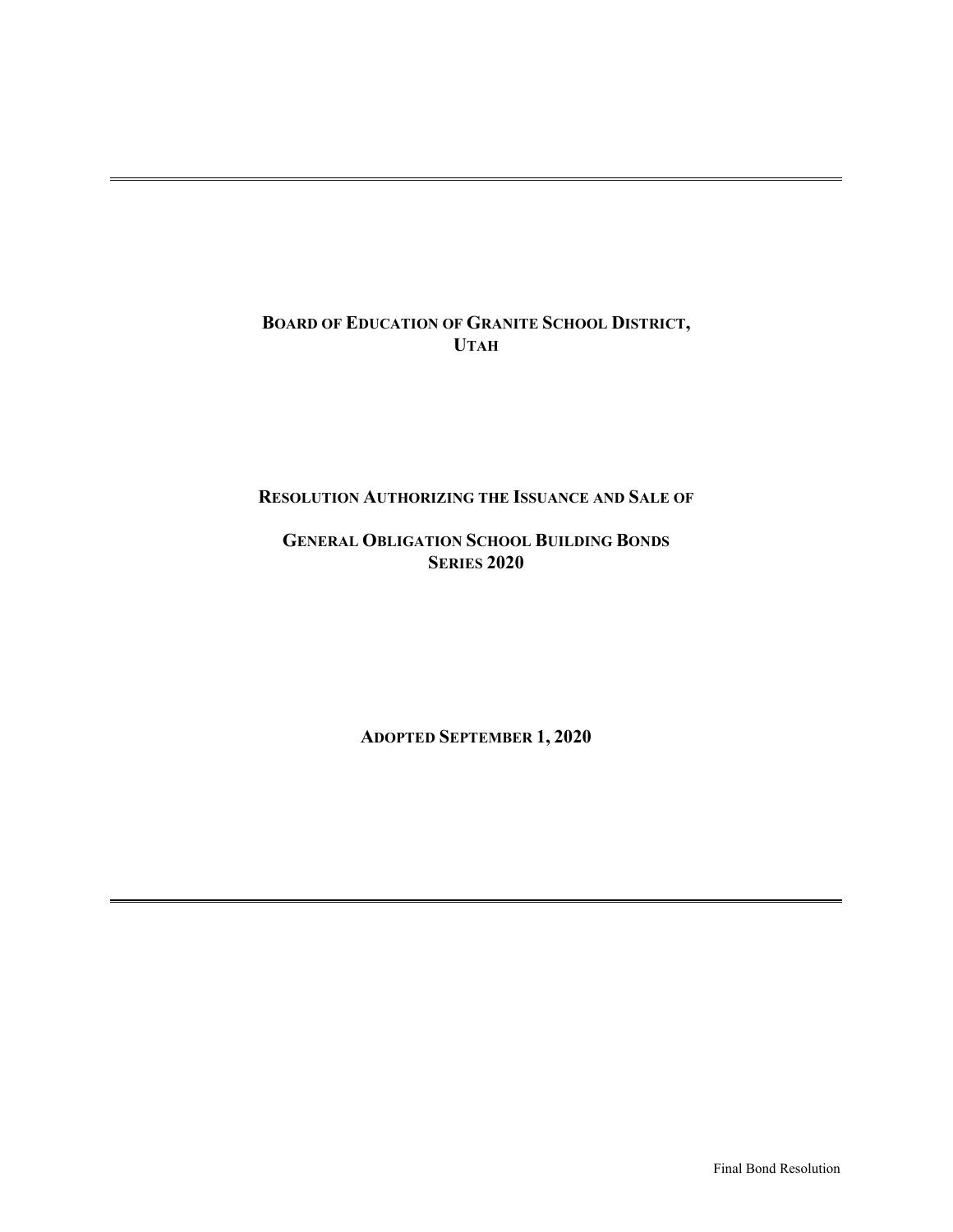## **BOARD OF EDUCATION OF GRANITE SCHOOL DISTRICT, UTAH**

### **RESOLUTION AUTHORIZING THE ISSUANCE AND SALE OF**

## **GENERAL OBLIGATION SCHOOL BUILDING BONDS SERIES 2020**

**ADOPTED SEPTEMBER 1, 2020**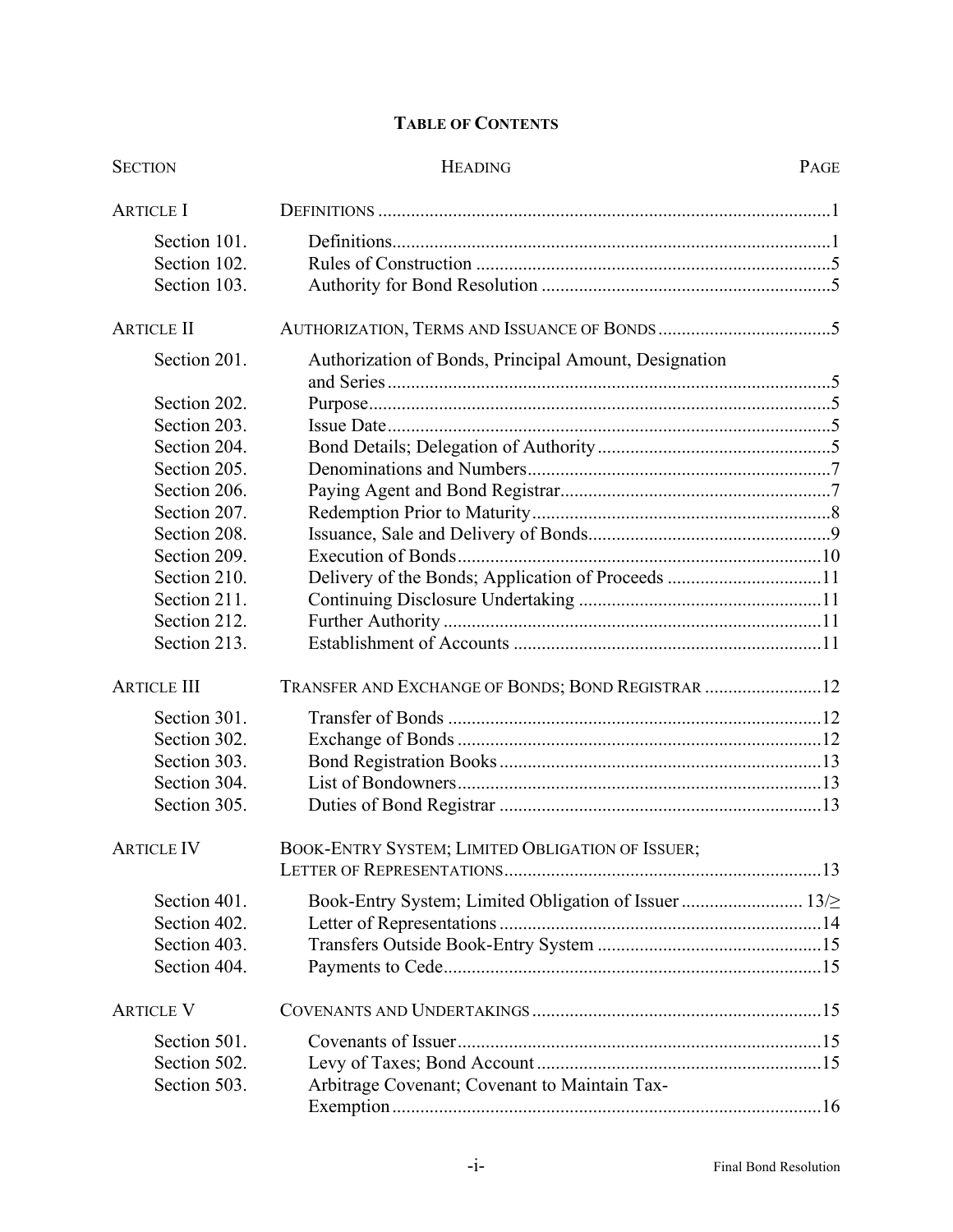# **TABLE OF CONTENTS**

| <b>SECTION</b>     | <b>HEADING</b>                                        |  |
|--------------------|-------------------------------------------------------|--|
| <b>ARTICLE I</b>   |                                                       |  |
| Section 101.       |                                                       |  |
| Section 102.       |                                                       |  |
| Section 103.       |                                                       |  |
| <b>ARTICLE II</b>  |                                                       |  |
| Section 201.       | Authorization of Bonds, Principal Amount, Designation |  |
| Section 202.       |                                                       |  |
| Section 203.       |                                                       |  |
| Section 204.       |                                                       |  |
| Section 205.       |                                                       |  |
| Section 206.       |                                                       |  |
| Section 207.       |                                                       |  |
| Section 208.       |                                                       |  |
| Section 209.       |                                                       |  |
| Section 210.       | Delivery of the Bonds; Application of Proceeds 11     |  |
| Section 211.       |                                                       |  |
| Section 212.       |                                                       |  |
| Section 213.       |                                                       |  |
| <b>ARTICLE III</b> | TRANSFER AND EXCHANGE OF BONDS; BOND REGISTRAR  12    |  |
| Section 301.       |                                                       |  |
| Section 302.       |                                                       |  |
| Section 303.       |                                                       |  |
| Section 304.       |                                                       |  |
| Section 305.       |                                                       |  |
| <b>ARTICLE IV</b>  | BOOK-ENTRY SYSTEM; LIMITED OBLIGATION OF ISSUER;      |  |
| Section 401.       | Book-Entry System; Limited Obligation of Issuer  13/2 |  |
| Section 402.       |                                                       |  |
| Section 403.       |                                                       |  |
| Section 404.       |                                                       |  |
| <b>ARTICLE V</b>   |                                                       |  |
| Section 501.       |                                                       |  |
| Section 502.       |                                                       |  |
| Section 503.       | Arbitrage Covenant; Covenant to Maintain Tax-         |  |
|                    |                                                       |  |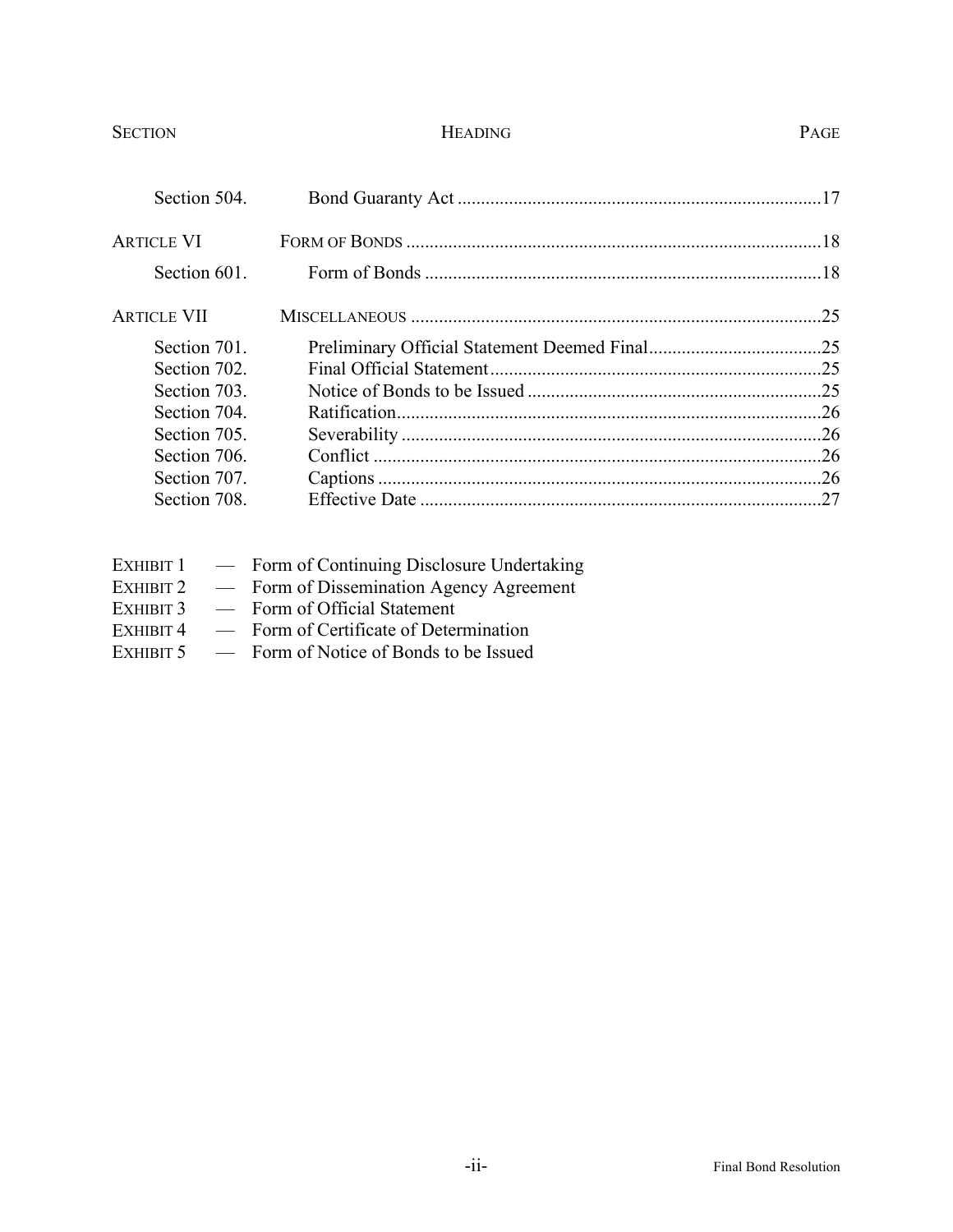## SECTION PAGE

| Section 504.      |  |
|-------------------|--|
| <b>ARTICLE VI</b> |  |
| Section 601.      |  |
| ARTICLE VII       |  |
| Section 701.      |  |
| Section 702.      |  |
| Section 703.      |  |
| Section 704.      |  |
| Section 705.      |  |
| Section 706.      |  |
| Section 707.      |  |
| Section 708.      |  |
|                   |  |

|           | EXHIBIT 1 - Form of Continuing Disclosure Undertaking |
|-----------|-------------------------------------------------------|
|           | EXHIBIT 2 — Form of Dissemination Agency Agreement    |
| EXHIBIT 3 | - Form of Official Statement                          |
| EXHIBIT 4 | - Form of Certificate of Determination                |
|           | EXHIBIT 5 - Form of Notice of Bonds to be Issued      |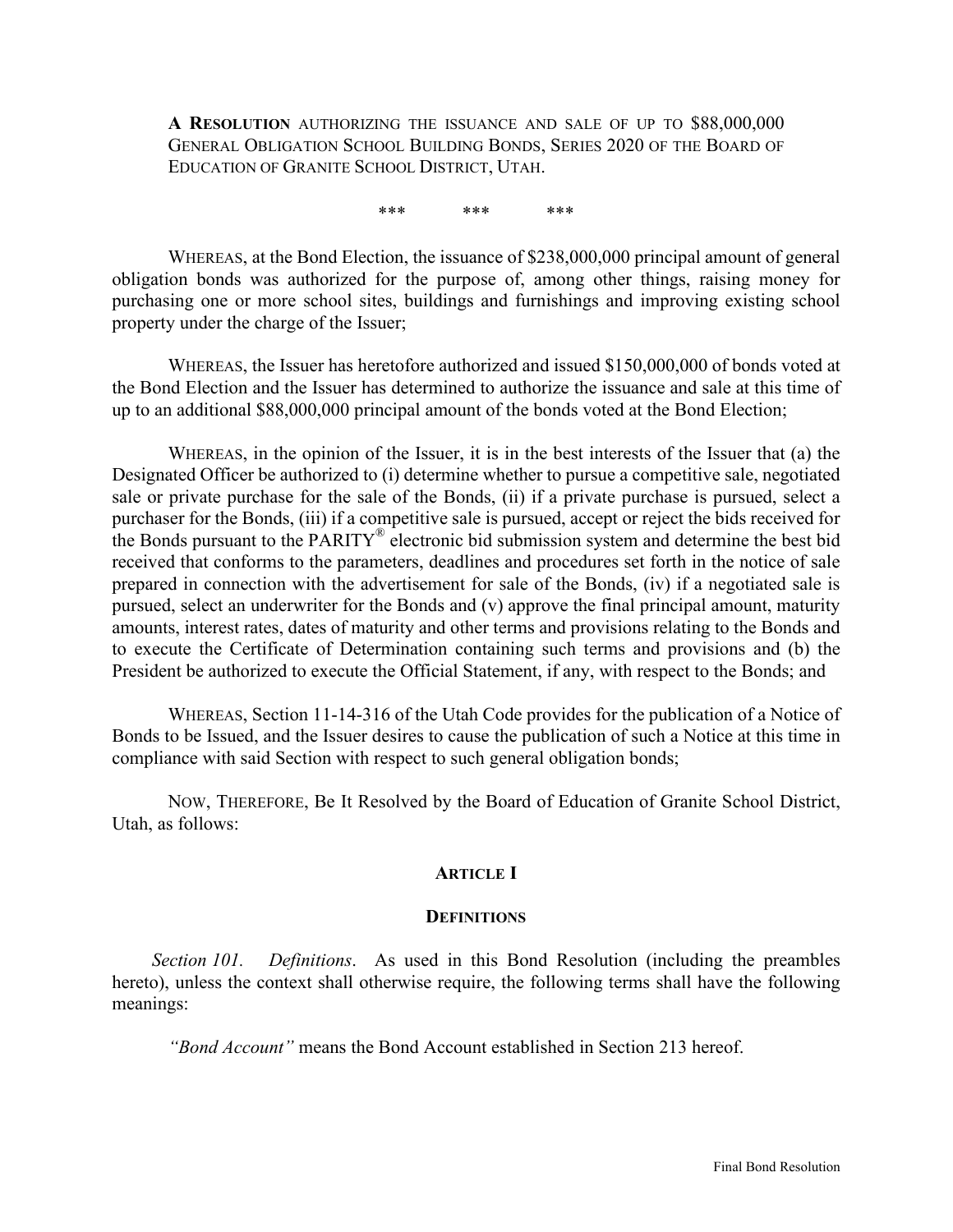**A RESOLUTION** AUTHORIZING THE ISSUANCE AND SALE OF UP TO \$88,000,000 GENERAL OBLIGATION SCHOOL BUILDING BONDS, SERIES 2020 OF THE BOARD OF EDUCATION OF GRANITE SCHOOL DISTRICT, UTAH.

\*\*\* \*\*\* \*\*\*

WHEREAS, at the Bond Election, the issuance of \$238,000,000 principal amount of general obligation bonds was authorized for the purpose of, among other things, raising money for purchasing one or more school sites, buildings and furnishings and improving existing school property under the charge of the Issuer;

WHEREAS, the Issuer has heretofore authorized and issued \$150,000,000 of bonds voted at the Bond Election and the Issuer has determined to authorize the issuance and sale at this time of up to an additional \$88,000,000 principal amount of the bonds voted at the Bond Election;

WHEREAS, in the opinion of the Issuer, it is in the best interests of the Issuer that (a) the Designated Officer be authorized to (i) determine whether to pursue a competitive sale, negotiated sale or private purchase for the sale of the Bonds, (ii) if a private purchase is pursued, select a purchaser for the Bonds, (iii) if a competitive sale is pursued, accept or reject the bids received for the Bonds pursuant to the PARITY® electronic bid submission system and determine the best bid received that conforms to the parameters, deadlines and procedures set forth in the notice of sale prepared in connection with the advertisement for sale of the Bonds, (iv) if a negotiated sale is pursued, select an underwriter for the Bonds and (v) approve the final principal amount, maturity amounts, interest rates, dates of maturity and other terms and provisions relating to the Bonds and to execute the Certificate of Determination containing such terms and provisions and (b) the President be authorized to execute the Official Statement, if any, with respect to the Bonds; and

WHEREAS, Section 11-14-316 of the Utah Code provides for the publication of a Notice of Bonds to be Issued, and the Issuer desires to cause the publication of such a Notice at this time in compliance with said Section with respect to such general obligation bonds;

NOW, THEREFORE, Be It Resolved by the Board of Education of Granite School District, Utah, as follows:

## **ARTICLE I**

#### **DEFINITIONS**

*Section 101. Definitions*. As used in this Bond Resolution (including the preambles hereto), unless the context shall otherwise require, the following terms shall have the following meanings:

*"Bond Account"* means the Bond Account established in Section 213 hereof.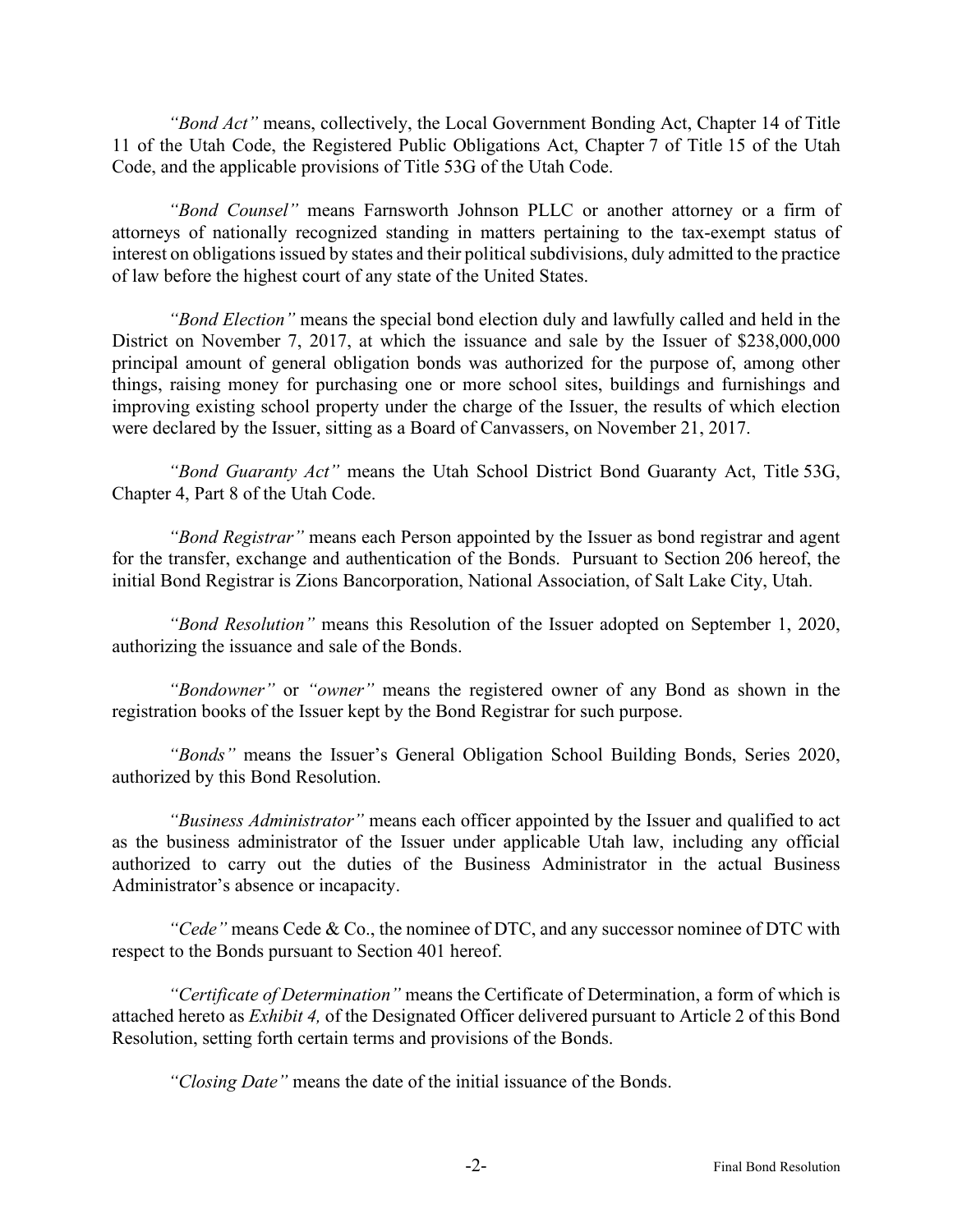*"Bond Act"* means, collectively, the Local Government Bonding Act, Chapter 14 of Title 11 of the Utah Code, the Registered Public Obligations Act, Chapter 7 of Title 15 of the Utah Code, and the applicable provisions of Title 53G of the Utah Code.

*"Bond Counsel"* means Farnsworth Johnson PLLC or another attorney or a firm of attorneys of nationally recognized standing in matters pertaining to the tax-exempt status of interest on obligations issued by states and their political subdivisions, duly admitted to the practice of law before the highest court of any state of the United States.

*"Bond Election"* means the special bond election duly and lawfully called and held in the District on November 7, 2017, at which the issuance and sale by the Issuer of \$238,000,000 principal amount of general obligation bonds was authorized for the purpose of, among other things, raising money for purchasing one or more school sites, buildings and furnishings and improving existing school property under the charge of the Issuer, the results of which election were declared by the Issuer, sitting as a Board of Canvassers, on November 21, 2017.

*"Bond Guaranty Act"* means the Utah School District Bond Guaranty Act, Title 53G, Chapter 4, Part 8 of the Utah Code.

*"Bond Registrar"* means each Person appointed by the Issuer as bond registrar and agent for the transfer, exchange and authentication of the Bonds. Pursuant to Section 206 hereof, the initial Bond Registrar is Zions Bancorporation, National Association, of Salt Lake City, Utah.

*"Bond Resolution"* means this Resolution of the Issuer adopted on September 1, 2020, authorizing the issuance and sale of the Bonds.

*"Bondowner"* or *"owner"* means the registered owner of any Bond as shown in the registration books of the Issuer kept by the Bond Registrar for such purpose.

*"Bonds"* means the Issuer's General Obligation School Building Bonds, Series 2020, authorized by this Bond Resolution.

*"Business Administrator"* means each officer appointed by the Issuer and qualified to act as the business administrator of the Issuer under applicable Utah law, including any official authorized to carry out the duties of the Business Administrator in the actual Business Administrator's absence or incapacity.

*"Cede"* means Cede & Co., the nominee of DTC, and any successor nominee of DTC with respect to the Bonds pursuant to Section 401 hereof.

*"Certificate of Determination"* means the Certificate of Determination, a form of which is attached hereto as *Exhibit 4,* of the Designated Officer delivered pursuant to Article 2 of this Bond Resolution, setting forth certain terms and provisions of the Bonds.

*"Closing Date"* means the date of the initial issuance of the Bonds.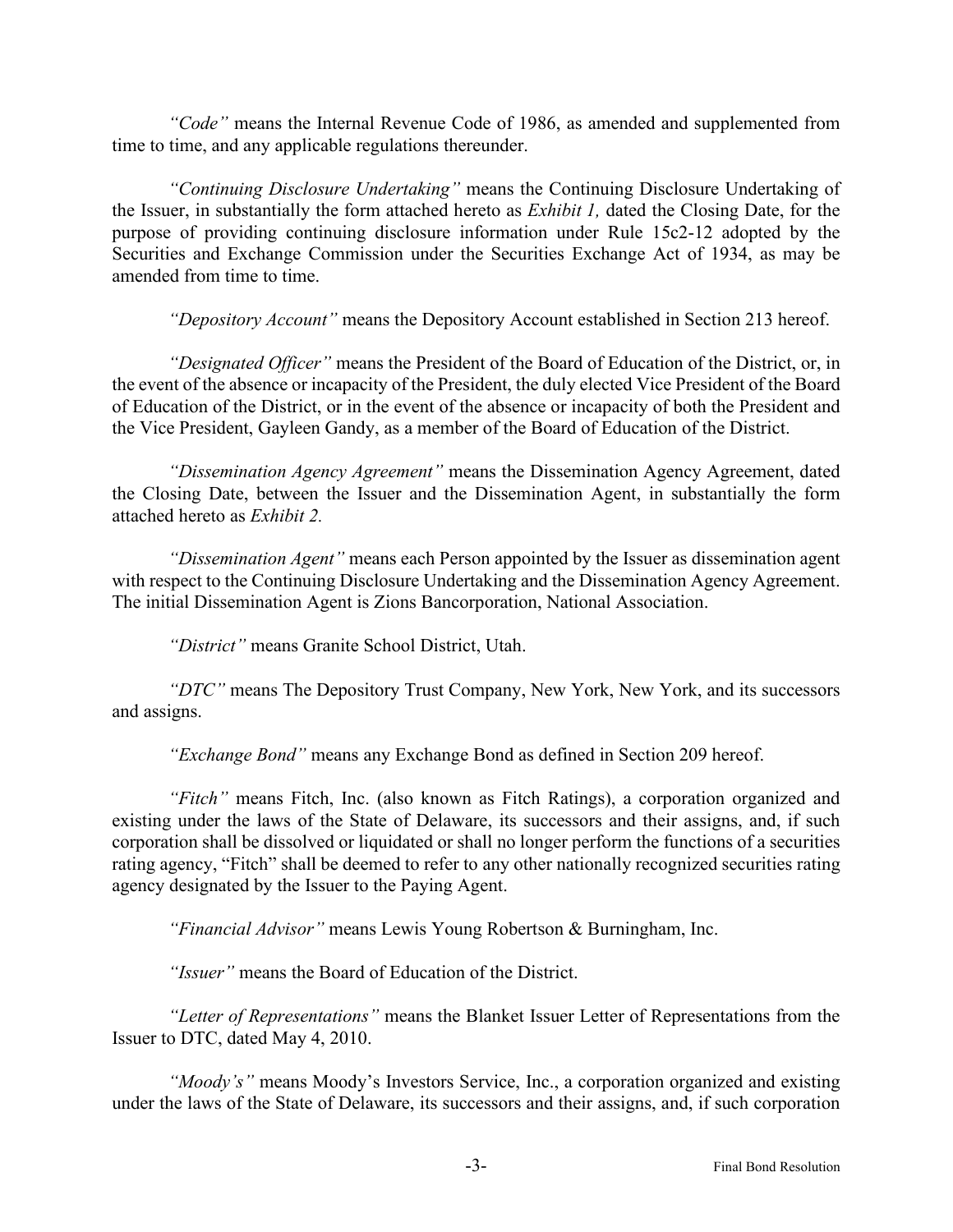*"Code"* means the Internal Revenue Code of 1986, as amended and supplemented from time to time, and any applicable regulations thereunder.

*"Continuing Disclosure Undertaking"* means the Continuing Disclosure Undertaking of the Issuer, in substantially the form attached hereto as *Exhibit 1,* dated the Closing Date, for the purpose of providing continuing disclosure information under Rule 15c2-12 adopted by the Securities and Exchange Commission under the Securities Exchange Act of 1934, as may be amended from time to time.

*"Depository Account"* means the Depository Account established in Section 213 hereof.

*"Designated Officer"* means the President of the Board of Education of the District, or, in the event of the absence or incapacity of the President, the duly elected Vice President of the Board of Education of the District, or in the event of the absence or incapacity of both the President and the Vice President, Gayleen Gandy, as a member of the Board of Education of the District.

*"Dissemination Agency Agreement"* means the Dissemination Agency Agreement, dated the Closing Date, between the Issuer and the Dissemination Agent, in substantially the form attached hereto as *Exhibit 2.*

*"Dissemination Agent"* means each Person appointed by the Issuer as dissemination agent with respect to the Continuing Disclosure Undertaking and the Dissemination Agency Agreement. The initial Dissemination Agent is Zions Bancorporation, National Association.

*"District"* means Granite School District, Utah.

*"DTC"* means The Depository Trust Company, New York, New York, and its successors and assigns.

*"Exchange Bond"* means any Exchange Bond as defined in Section 209 hereof.

*"Fitch"* means Fitch, Inc. (also known as Fitch Ratings), a corporation organized and existing under the laws of the State of Delaware, its successors and their assigns, and, if such corporation shall be dissolved or liquidated or shall no longer perform the functions of a securities rating agency, "Fitch" shall be deemed to refer to any other nationally recognized securities rating agency designated by the Issuer to the Paying Agent.

*"Financial Advisor"* means Lewis Young Robertson & Burningham, Inc.

*"Issuer"* means the Board of Education of the District.

*"Letter of Representations"* means the Blanket Issuer Letter of Representations from the Issuer to DTC, dated May 4, 2010.

*"Moody's"* means Moody's Investors Service, Inc., a corporation organized and existing under the laws of the State of Delaware, its successors and their assigns, and, if such corporation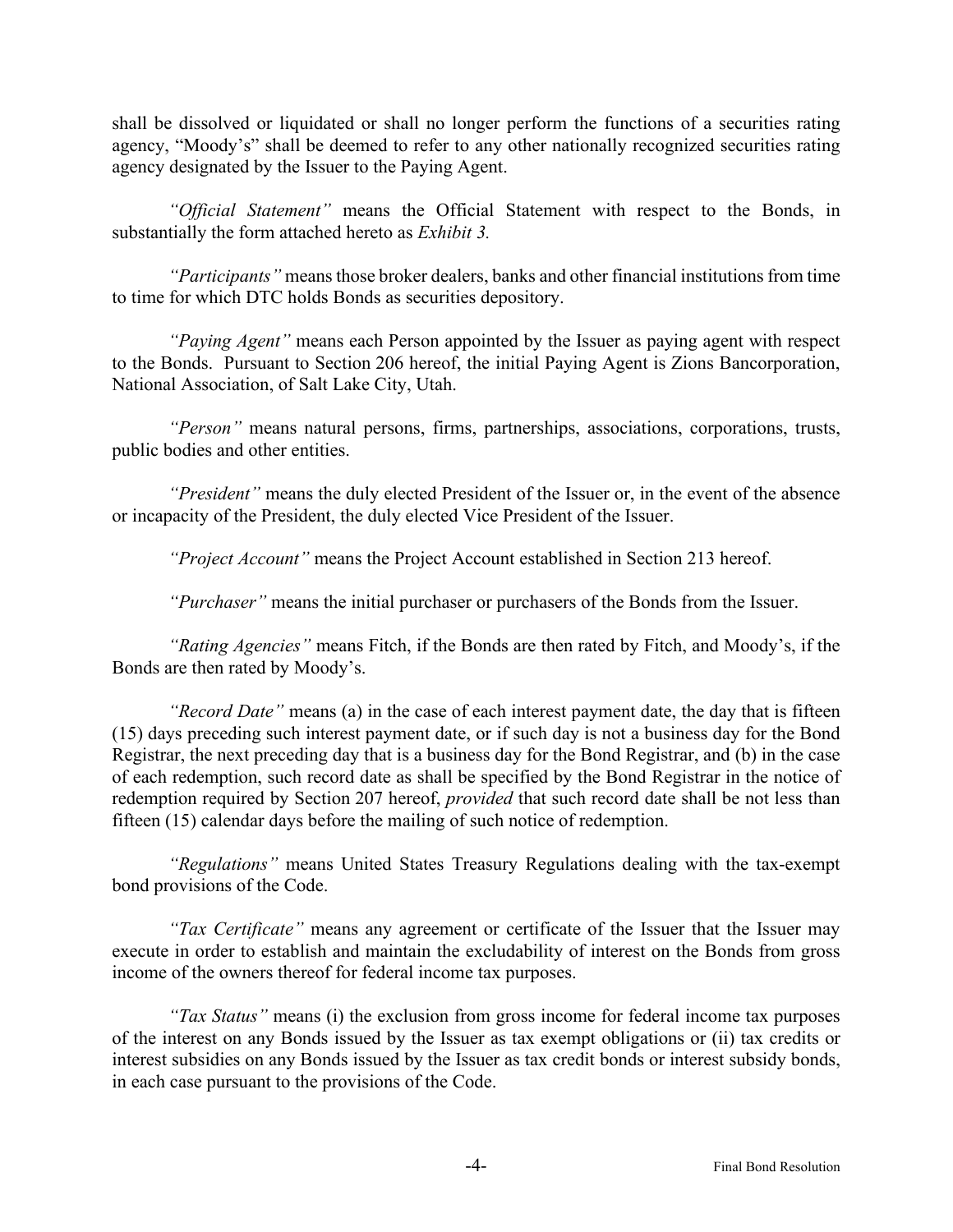shall be dissolved or liquidated or shall no longer perform the functions of a securities rating agency, "Moody's" shall be deemed to refer to any other nationally recognized securities rating agency designated by the Issuer to the Paying Agent.

*"Official Statement"* means the Official Statement with respect to the Bonds, in substantially the form attached hereto as *Exhibit 3.*

*"Participants"* means those broker dealers, banks and other financial institutions from time to time for which DTC holds Bonds as securities depository.

*"Paying Agent"* means each Person appointed by the Issuer as paying agent with respect to the Bonds. Pursuant to Section 206 hereof, the initial Paying Agent is Zions Bancorporation, National Association, of Salt Lake City, Utah.

*"Person"* means natural persons, firms, partnerships, associations, corporations, trusts, public bodies and other entities.

*"President"* means the duly elected President of the Issuer or, in the event of the absence or incapacity of the President, the duly elected Vice President of the Issuer.

*"Project Account"* means the Project Account established in Section 213 hereof.

*"Purchaser"* means the initial purchaser or purchasers of the Bonds from the Issuer.

*"Rating Agencies"* means Fitch, if the Bonds are then rated by Fitch, and Moody's, if the Bonds are then rated by Moody's.

*"Record Date"* means (a) in the case of each interest payment date, the day that is fifteen (15) days preceding such interest payment date, or if such day is not a business day for the Bond Registrar, the next preceding day that is a business day for the Bond Registrar, and (b) in the case of each redemption, such record date as shall be specified by the Bond Registrar in the notice of redemption required by Section 207 hereof, *provided* that such record date shall be not less than fifteen (15) calendar days before the mailing of such notice of redemption.

*"Regulations"* means United States Treasury Regulations dealing with the tax-exempt bond provisions of the Code.

*"Tax Certificate"* means any agreement or certificate of the Issuer that the Issuer may execute in order to establish and maintain the excludability of interest on the Bonds from gross income of the owners thereof for federal income tax purposes.

*"Tax Status"* means (i) the exclusion from gross income for federal income tax purposes of the interest on any Bonds issued by the Issuer as tax exempt obligations or (ii) tax credits or interest subsidies on any Bonds issued by the Issuer as tax credit bonds or interest subsidy bonds, in each case pursuant to the provisions of the Code.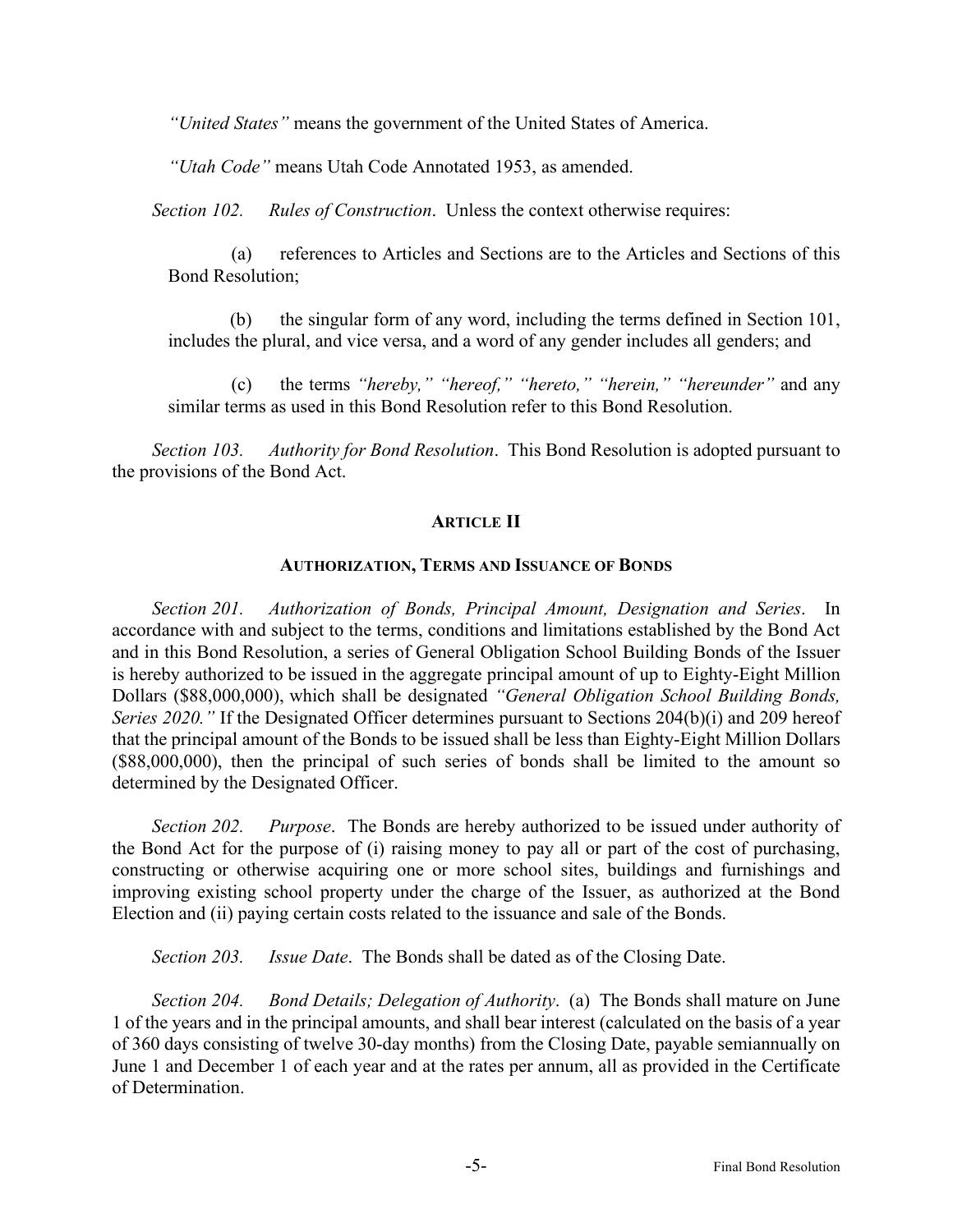*"United States"* means the government of the United States of America.

*"Utah Code"* means Utah Code Annotated 1953, as amended.

*Section 102. Rules of Construction*. Unless the context otherwise requires:

(a) references to Articles and Sections are to the Articles and Sections of this Bond Resolution;

(b) the singular form of any word, including the terms defined in Section 101, includes the plural, and vice versa, and a word of any gender includes all genders; and

(c) the terms *"hereby," "hereof," "hereto," "herein," "hereunder"* and any similar terms as used in this Bond Resolution refer to this Bond Resolution.

*Section 103. Authority for Bond Resolution*. This Bond Resolution is adopted pursuant to the provisions of the Bond Act.

#### **ARTICLE II**

#### **AUTHORIZATION, TERMS AND ISSUANCE OF BONDS**

*Section 201. Authorization of Bonds, Principal Amount, Designation and Series*. In accordance with and subject to the terms, conditions and limitations established by the Bond Act and in this Bond Resolution, a series of General Obligation School Building Bonds of the Issuer is hereby authorized to be issued in the aggregate principal amount of up to Eighty-Eight Million Dollars (\$88,000,000), which shall be designated *"General Obligation School Building Bonds, Series 2020.* " If the Designated Officer determines pursuant to Sections 204(b)(i) and 209 hereof that the principal amount of the Bonds to be issued shall be less than Eighty-Eight Million Dollars (\$88,000,000), then the principal of such series of bonds shall be limited to the amount so determined by the Designated Officer.

*Section 202. Purpose*. The Bonds are hereby authorized to be issued under authority of the Bond Act for the purpose of (i) raising money to pay all or part of the cost of purchasing, constructing or otherwise acquiring one or more school sites, buildings and furnishings and improving existing school property under the charge of the Issuer, as authorized at the Bond Election and (ii) paying certain costs related to the issuance and sale of the Bonds.

*Section 203. Issue Date*. The Bonds shall be dated as of the Closing Date.

*Section 204. Bond Details; Delegation of Authority*. (a) The Bonds shall mature on June 1 of the years and in the principal amounts, and shall bear interest (calculated on the basis of a year of 360 days consisting of twelve 30-day months) from the Closing Date, payable semiannually on June 1 and December 1 of each year and at the rates per annum, all as provided in the Certificate of Determination.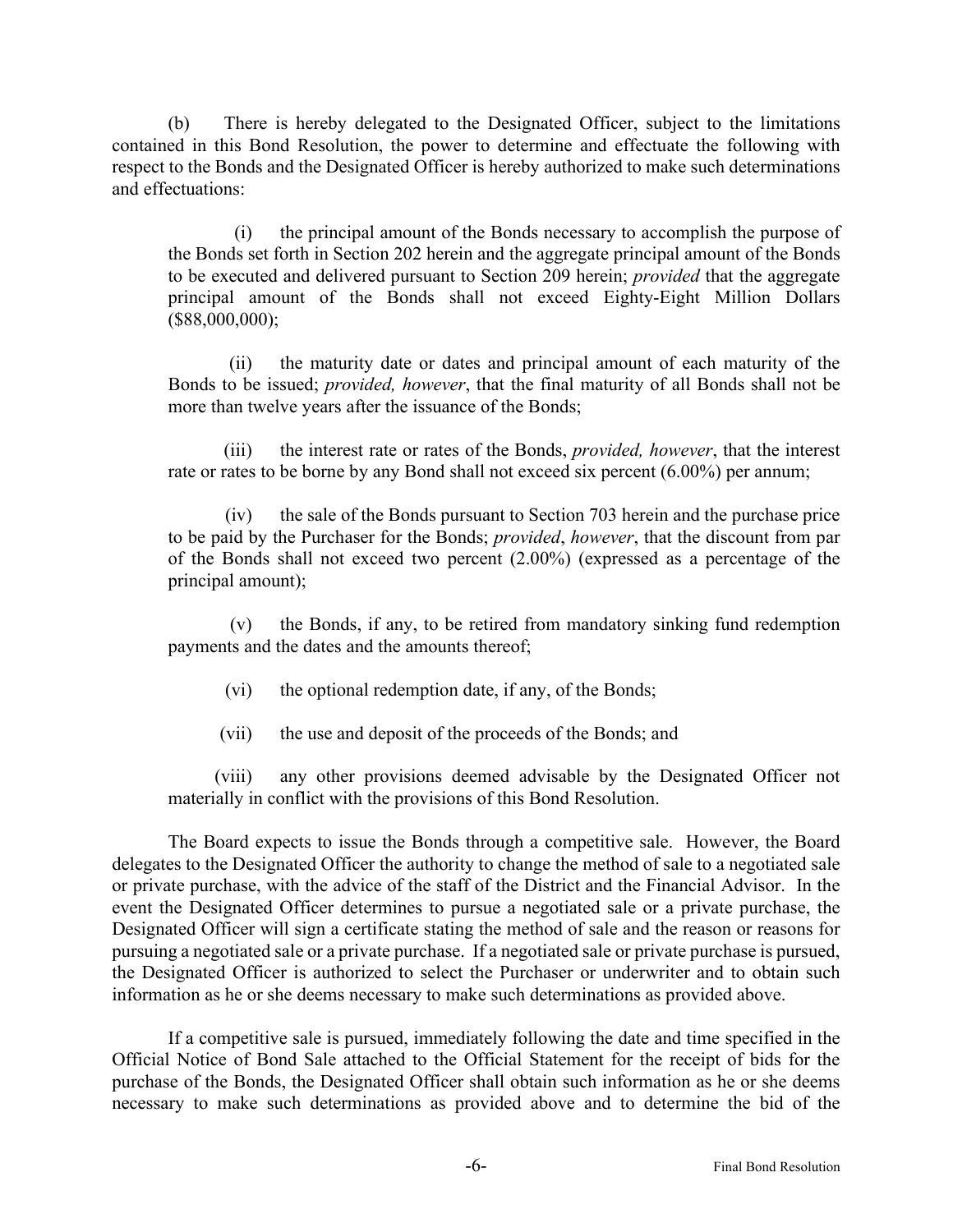(b) There is hereby delegated to the Designated Officer, subject to the limitations contained in this Bond Resolution, the power to determine and effectuate the following with respect to the Bonds and the Designated Officer is hereby authorized to make such determinations and effectuations:

(i) the principal amount of the Bonds necessary to accomplish the purpose of the Bonds set forth in Section 202 herein and the aggregate principal amount of the Bonds to be executed and delivered pursuant to Section 209 herein; *provided* that the aggregate principal amount of the Bonds shall not exceed Eighty-Eight Million Dollars (\$88,000,000);

(ii) the maturity date or dates and principal amount of each maturity of the Bonds to be issued; *provided, however*, that the final maturity of all Bonds shall not be more than twelve years after the issuance of the Bonds;

(iii) the interest rate or rates of the Bonds, *provided, however*, that the interest rate or rates to be borne by any Bond shall not exceed six percent (6.00%) per annum;

(iv) the sale of the Bonds pursuant to Section 703 herein and the purchase price to be paid by the Purchaser for the Bonds; *provided*, *however*, that the discount from par of the Bonds shall not exceed two percent (2.00%) (expressed as a percentage of the principal amount);

(v) the Bonds, if any, to be retired from mandatory sinking fund redemption payments and the dates and the amounts thereof;

- (vi) the optional redemption date, if any, of the Bonds;
- (vii) the use and deposit of the proceeds of the Bonds; and

(viii) any other provisions deemed advisable by the Designated Officer not materially in conflict with the provisions of this Bond Resolution.

The Board expects to issue the Bonds through a competitive sale. However, the Board delegates to the Designated Officer the authority to change the method of sale to a negotiated sale or private purchase, with the advice of the staff of the District and the Financial Advisor. In the event the Designated Officer determines to pursue a negotiated sale or a private purchase, the Designated Officer will sign a certificate stating the method of sale and the reason or reasons for pursuing a negotiated sale or a private purchase. If a negotiated sale or private purchase is pursued, the Designated Officer is authorized to select the Purchaser or underwriter and to obtain such information as he or she deems necessary to make such determinations as provided above.

If a competitive sale is pursued, immediately following the date and time specified in the Official Notice of Bond Sale attached to the Official Statement for the receipt of bids for the purchase of the Bonds, the Designated Officer shall obtain such information as he or she deems necessary to make such determinations as provided above and to determine the bid of the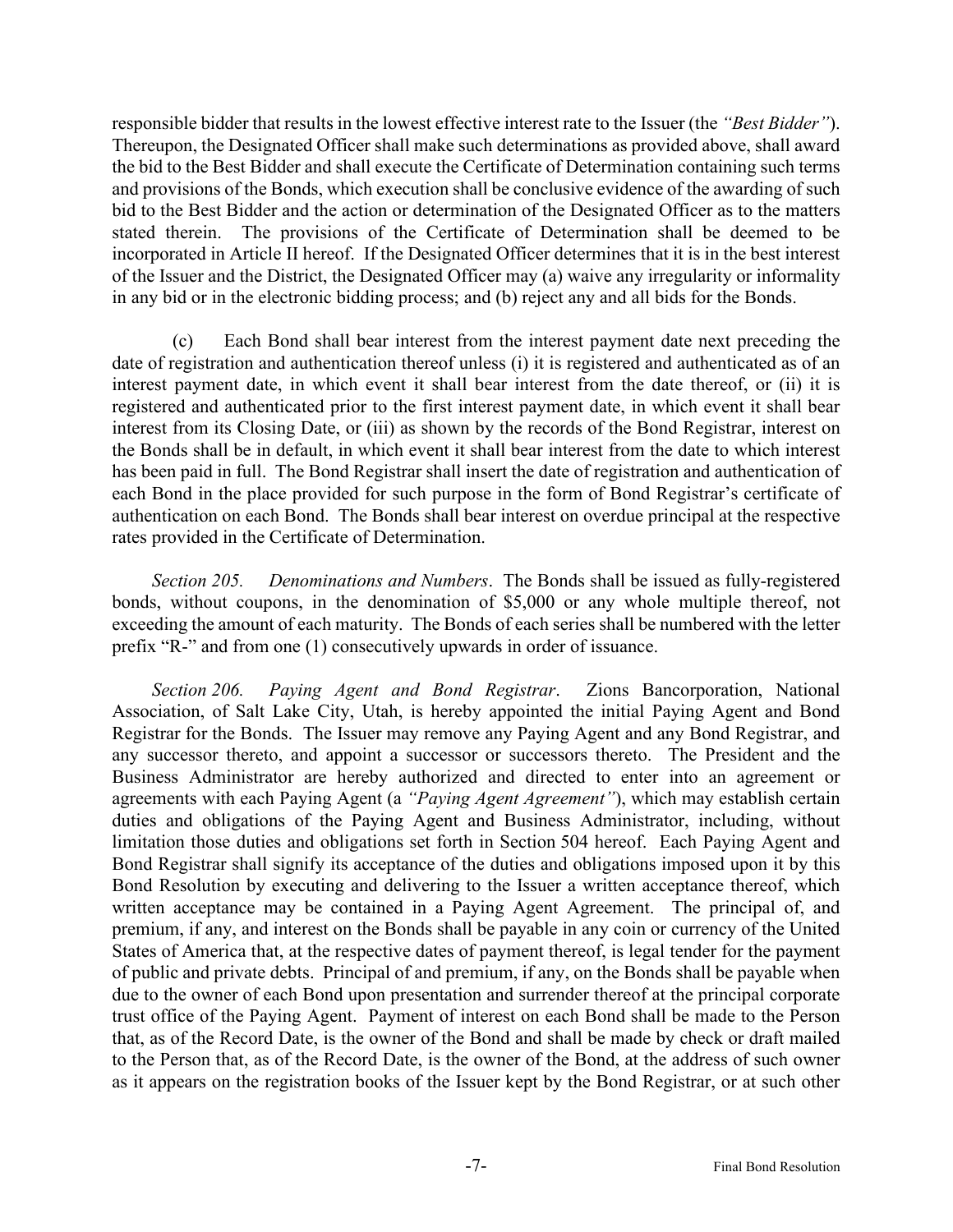responsible bidder that results in the lowest effective interest rate to the Issuer (the *"Best Bidder"*). Thereupon, the Designated Officer shall make such determinations as provided above, shall award the bid to the Best Bidder and shall execute the Certificate of Determination containing such terms and provisions of the Bonds, which execution shall be conclusive evidence of the awarding of such bid to the Best Bidder and the action or determination of the Designated Officer as to the matters stated therein. The provisions of the Certificate of Determination shall be deemed to be incorporated in Article II hereof. If the Designated Officer determines that it is in the best interest of the Issuer and the District, the Designated Officer may (a) waive any irregularity or informality in any bid or in the electronic bidding process; and (b) reject any and all bids for the Bonds.

(c) Each Bond shall bear interest from the interest payment date next preceding the date of registration and authentication thereof unless (i) it is registered and authenticated as of an interest payment date, in which event it shall bear interest from the date thereof, or (ii) it is registered and authenticated prior to the first interest payment date, in which event it shall bear interest from its Closing Date, or (iii) as shown by the records of the Bond Registrar, interest on the Bonds shall be in default, in which event it shall bear interest from the date to which interest has been paid in full. The Bond Registrar shall insert the date of registration and authentication of each Bond in the place provided for such purpose in the form of Bond Registrar's certificate of authentication on each Bond. The Bonds shall bear interest on overdue principal at the respective rates provided in the Certificate of Determination.

*Section 205. Denominations and Numbers*. The Bonds shall be issued as fully-registered bonds, without coupons, in the denomination of \$5,000 or any whole multiple thereof, not exceeding the amount of each maturity. The Bonds of each series shall be numbered with the letter prefix "R-" and from one (1) consecutively upwards in order of issuance.

*Section 206. Paying Agent and Bond Registrar*. Zions Bancorporation, National Association, of Salt Lake City, Utah, is hereby appointed the initial Paying Agent and Bond Registrar for the Bonds. The Issuer may remove any Paying Agent and any Bond Registrar, and any successor thereto, and appoint a successor or successors thereto. The President and the Business Administrator are hereby authorized and directed to enter into an agreement or agreements with each Paying Agent (a *"Paying Agent Agreement"*), which may establish certain duties and obligations of the Paying Agent and Business Administrator, including, without limitation those duties and obligations set forth in Section 504 hereof. Each Paying Agent and Bond Registrar shall signify its acceptance of the duties and obligations imposed upon it by this Bond Resolution by executing and delivering to the Issuer a written acceptance thereof, which written acceptance may be contained in a Paying Agent Agreement. The principal of, and premium, if any, and interest on the Bonds shall be payable in any coin or currency of the United States of America that, at the respective dates of payment thereof, is legal tender for the payment of public and private debts. Principal of and premium, if any, on the Bonds shall be payable when due to the owner of each Bond upon presentation and surrender thereof at the principal corporate trust office of the Paying Agent. Payment of interest on each Bond shall be made to the Person that, as of the Record Date, is the owner of the Bond and shall be made by check or draft mailed to the Person that, as of the Record Date, is the owner of the Bond, at the address of such owner as it appears on the registration books of the Issuer kept by the Bond Registrar, or at such other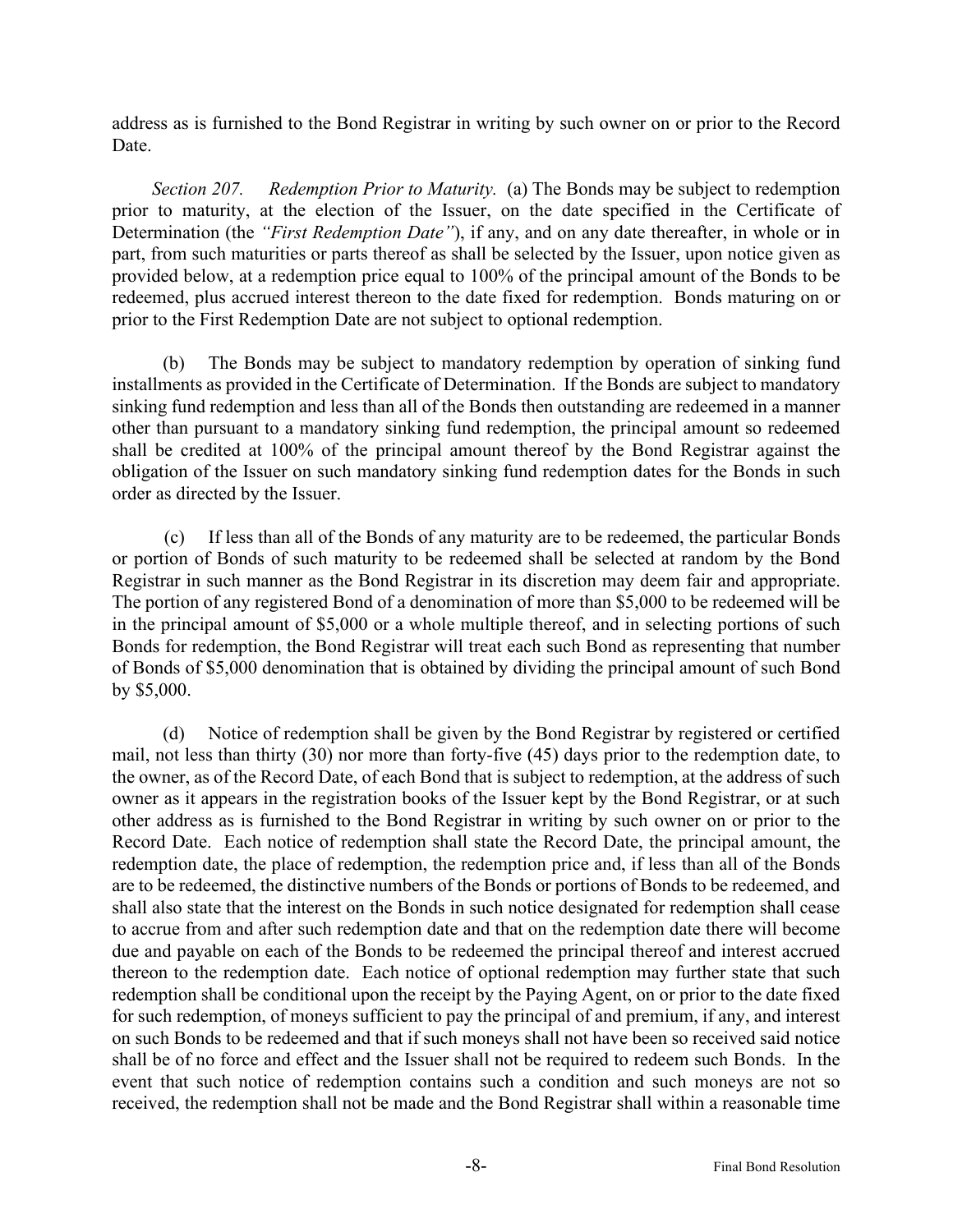address as is furnished to the Bond Registrar in writing by such owner on or prior to the Record Date.

*Section 207. Redemption Prior to Maturity.* (a) The Bonds may be subject to redemption prior to maturity, at the election of the Issuer, on the date specified in the Certificate of Determination (the *"First Redemption Date"*), if any, and on any date thereafter, in whole or in part, from such maturities or parts thereof as shall be selected by the Issuer, upon notice given as provided below, at a redemption price equal to 100% of the principal amount of the Bonds to be redeemed, plus accrued interest thereon to the date fixed for redemption. Bonds maturing on or prior to the First Redemption Date are not subject to optional redemption.

(b) The Bonds may be subject to mandatory redemption by operation of sinking fund installments as provided in the Certificate of Determination. If the Bonds are subject to mandatory sinking fund redemption and less than all of the Bonds then outstanding are redeemed in a manner other than pursuant to a mandatory sinking fund redemption, the principal amount so redeemed shall be credited at 100% of the principal amount thereof by the Bond Registrar against the obligation of the Issuer on such mandatory sinking fund redemption dates for the Bonds in such order as directed by the Issuer.

(c) If less than all of the Bonds of any maturity are to be redeemed, the particular Bonds or portion of Bonds of such maturity to be redeemed shall be selected at random by the Bond Registrar in such manner as the Bond Registrar in its discretion may deem fair and appropriate. The portion of any registered Bond of a denomination of more than \$5,000 to be redeemed will be in the principal amount of \$5,000 or a whole multiple thereof, and in selecting portions of such Bonds for redemption, the Bond Registrar will treat each such Bond as representing that number of Bonds of \$5,000 denomination that is obtained by dividing the principal amount of such Bond by \$5,000.

(d) Notice of redemption shall be given by the Bond Registrar by registered or certified mail, not less than thirty (30) nor more than forty-five (45) days prior to the redemption date, to the owner, as of the Record Date, of each Bond that is subject to redemption, at the address of such owner as it appears in the registration books of the Issuer kept by the Bond Registrar, or at such other address as is furnished to the Bond Registrar in writing by such owner on or prior to the Record Date. Each notice of redemption shall state the Record Date, the principal amount, the redemption date, the place of redemption, the redemption price and, if less than all of the Bonds are to be redeemed, the distinctive numbers of the Bonds or portions of Bonds to be redeemed, and shall also state that the interest on the Bonds in such notice designated for redemption shall cease to accrue from and after such redemption date and that on the redemption date there will become due and payable on each of the Bonds to be redeemed the principal thereof and interest accrued thereon to the redemption date. Each notice of optional redemption may further state that such redemption shall be conditional upon the receipt by the Paying Agent, on or prior to the date fixed for such redemption, of moneys sufficient to pay the principal of and premium, if any, and interest on such Bonds to be redeemed and that if such moneys shall not have been so received said notice shall be of no force and effect and the Issuer shall not be required to redeem such Bonds. In the event that such notice of redemption contains such a condition and such moneys are not so received, the redemption shall not be made and the Bond Registrar shall within a reasonable time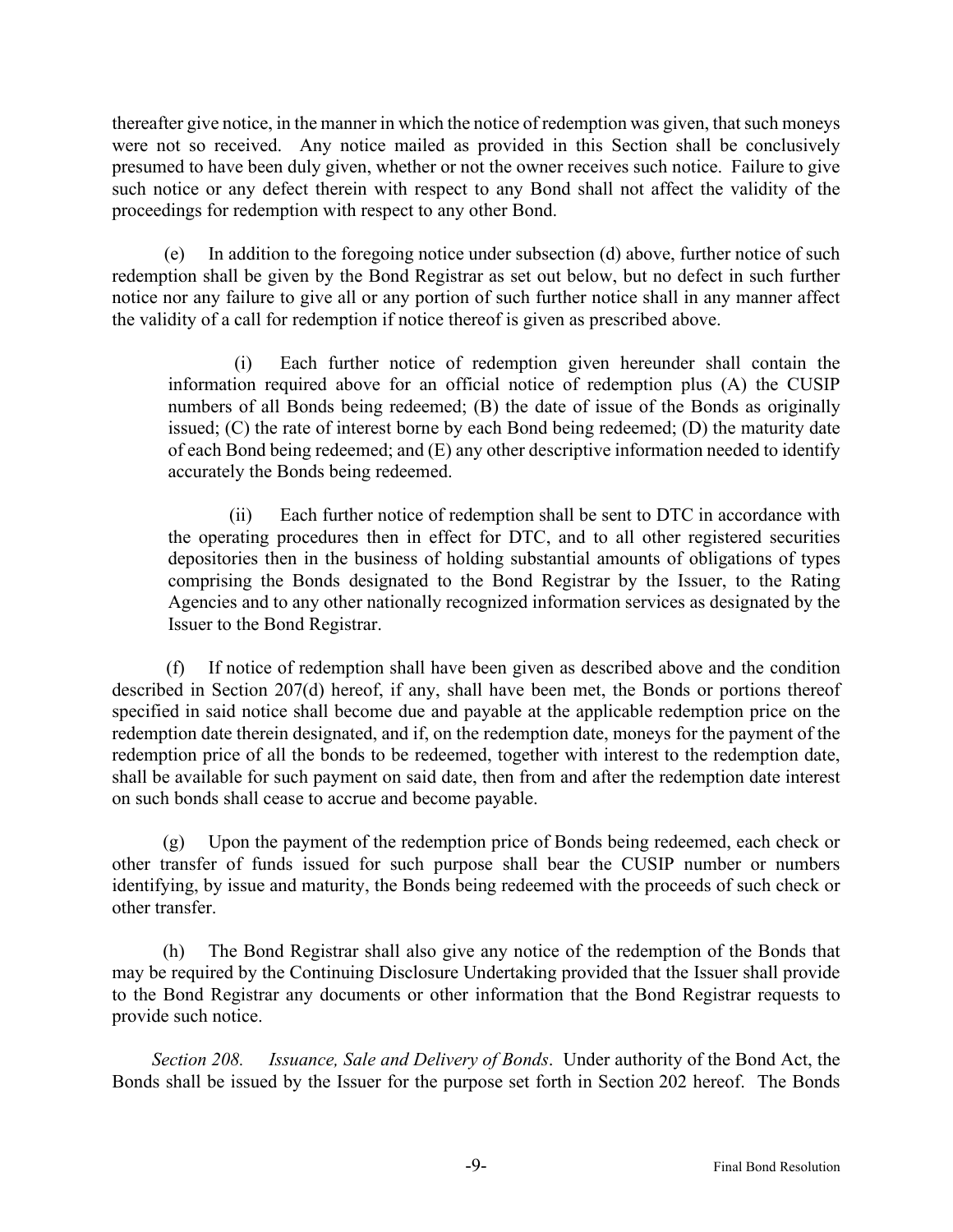thereafter give notice, in the manner in which the notice of redemption was given, that such moneys were not so received. Any notice mailed as provided in this Section shall be conclusively presumed to have been duly given, whether or not the owner receives such notice. Failure to give such notice or any defect therein with respect to any Bond shall not affect the validity of the proceedings for redemption with respect to any other Bond.

In addition to the foregoing notice under subsection (d) above, further notice of such redemption shall be given by the Bond Registrar as set out below, but no defect in such further notice nor any failure to give all or any portion of such further notice shall in any manner affect the validity of a call for redemption if notice thereof is given as prescribed above.

(i) Each further notice of redemption given hereunder shall contain the information required above for an official notice of redemption plus (A) the CUSIP numbers of all Bonds being redeemed; (B) the date of issue of the Bonds as originally issued; (C) the rate of interest borne by each Bond being redeemed; (D) the maturity date of each Bond being redeemed; and (E) any other descriptive information needed to identify accurately the Bonds being redeemed.

(ii) Each further notice of redemption shall be sent to DTC in accordance with the operating procedures then in effect for DTC, and to all other registered securities depositories then in the business of holding substantial amounts of obligations of types comprising the Bonds designated to the Bond Registrar by the Issuer, to the Rating Agencies and to any other nationally recognized information services as designated by the Issuer to the Bond Registrar.

(f) If notice of redemption shall have been given as described above and the condition described in Section 207(d) hereof, if any, shall have been met, the Bonds or portions thereof specified in said notice shall become due and payable at the applicable redemption price on the redemption date therein designated, and if, on the redemption date, moneys for the payment of the redemption price of all the bonds to be redeemed, together with interest to the redemption date, shall be available for such payment on said date, then from and after the redemption date interest on such bonds shall cease to accrue and become payable.

(g) Upon the payment of the redemption price of Bonds being redeemed, each check or other transfer of funds issued for such purpose shall bear the CUSIP number or numbers identifying, by issue and maturity, the Bonds being redeemed with the proceeds of such check or other transfer.

(h) The Bond Registrar shall also give any notice of the redemption of the Bonds that may be required by the Continuing Disclosure Undertaking provided that the Issuer shall provide to the Bond Registrar any documents or other information that the Bond Registrar requests to provide such notice.

*Section 208. Issuance, Sale and Delivery of Bonds*. Under authority of the Bond Act, the Bonds shall be issued by the Issuer for the purpose set forth in Section 202 hereof. The Bonds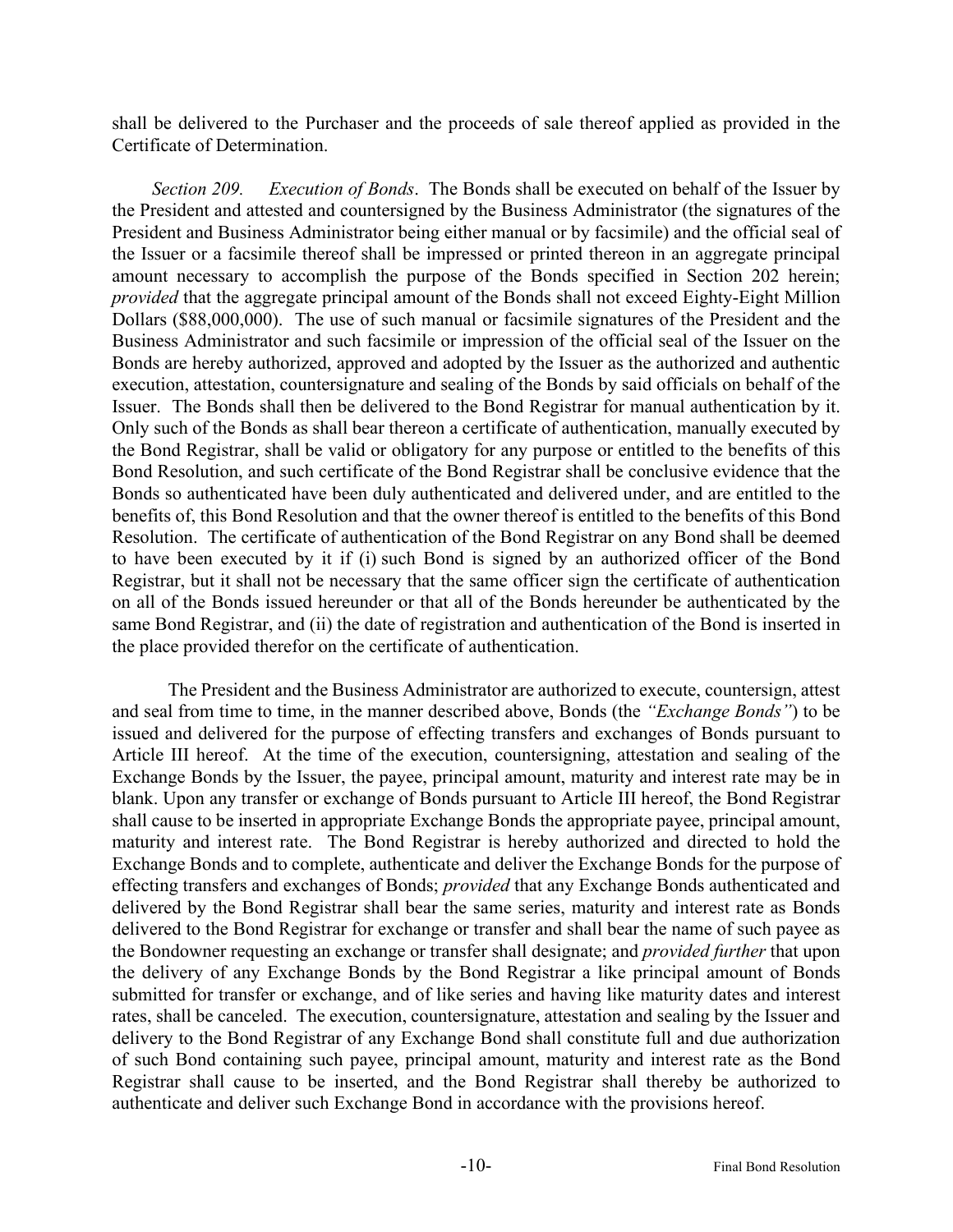shall be delivered to the Purchaser and the proceeds of sale thereof applied as provided in the Certificate of Determination.

*Section 209. Execution of Bonds*. The Bonds shall be executed on behalf of the Issuer by the President and attested and countersigned by the Business Administrator (the signatures of the President and Business Administrator being either manual or by facsimile) and the official seal of the Issuer or a facsimile thereof shall be impressed or printed thereon in an aggregate principal amount necessary to accomplish the purpose of the Bonds specified in Section 202 herein; *provided* that the aggregate principal amount of the Bonds shall not exceed Eighty-Eight Million Dollars (\$88,000,000). The use of such manual or facsimile signatures of the President and the Business Administrator and such facsimile or impression of the official seal of the Issuer on the Bonds are hereby authorized, approved and adopted by the Issuer as the authorized and authentic execution, attestation, countersignature and sealing of the Bonds by said officials on behalf of the Issuer. The Bonds shall then be delivered to the Bond Registrar for manual authentication by it. Only such of the Bonds as shall bear thereon a certificate of authentication, manually executed by the Bond Registrar, shall be valid or obligatory for any purpose or entitled to the benefits of this Bond Resolution, and such certificate of the Bond Registrar shall be conclusive evidence that the Bonds so authenticated have been duly authenticated and delivered under, and are entitled to the benefits of, this Bond Resolution and that the owner thereof is entitled to the benefits of this Bond Resolution. The certificate of authentication of the Bond Registrar on any Bond shall be deemed to have been executed by it if (i) such Bond is signed by an authorized officer of the Bond Registrar, but it shall not be necessary that the same officer sign the certificate of authentication on all of the Bonds issued hereunder or that all of the Bonds hereunder be authenticated by the same Bond Registrar, and (ii) the date of registration and authentication of the Bond is inserted in the place provided therefor on the certificate of authentication.

The President and the Business Administrator are authorized to execute, countersign, attest and seal from time to time, in the manner described above, Bonds (the *"Exchange Bonds"*) to be issued and delivered for the purpose of effecting transfers and exchanges of Bonds pursuant to Article III hereof. At the time of the execution, countersigning, attestation and sealing of the Exchange Bonds by the Issuer, the payee, principal amount, maturity and interest rate may be in blank. Upon any transfer or exchange of Bonds pursuant to Article III hereof, the Bond Registrar shall cause to be inserted in appropriate Exchange Bonds the appropriate payee, principal amount, maturity and interest rate. The Bond Registrar is hereby authorized and directed to hold the Exchange Bonds and to complete, authenticate and deliver the Exchange Bonds for the purpose of effecting transfers and exchanges of Bonds; *provided* that any Exchange Bonds authenticated and delivered by the Bond Registrar shall bear the same series, maturity and interest rate as Bonds delivered to the Bond Registrar for exchange or transfer and shall bear the name of such payee as the Bondowner requesting an exchange or transfer shall designate; and *provided further* that upon the delivery of any Exchange Bonds by the Bond Registrar a like principal amount of Bonds submitted for transfer or exchange, and of like series and having like maturity dates and interest rates, shall be canceled. The execution, countersignature, attestation and sealing by the Issuer and delivery to the Bond Registrar of any Exchange Bond shall constitute full and due authorization of such Bond containing such payee, principal amount, maturity and interest rate as the Bond Registrar shall cause to be inserted, and the Bond Registrar shall thereby be authorized to authenticate and deliver such Exchange Bond in accordance with the provisions hereof.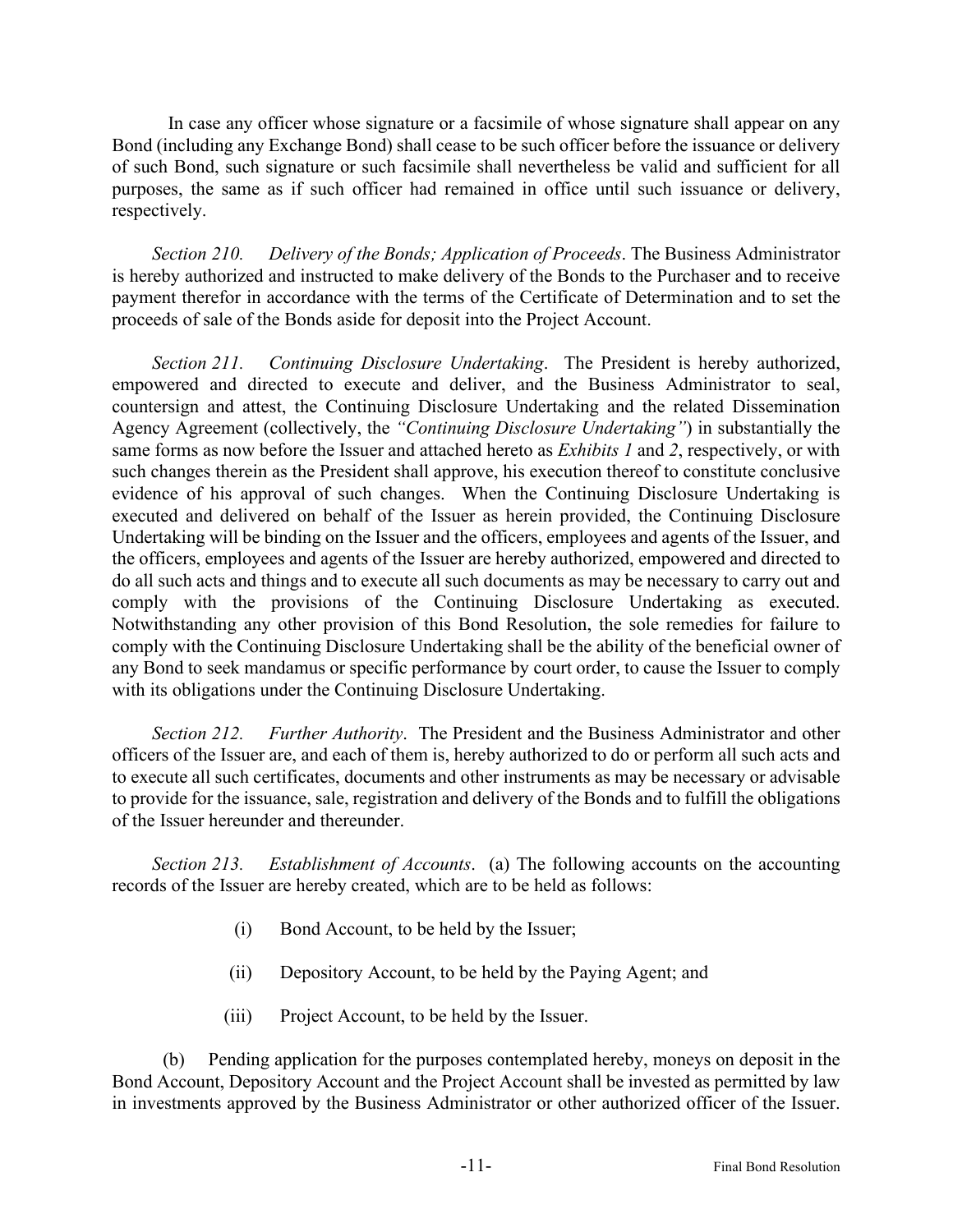In case any officer whose signature or a facsimile of whose signature shall appear on any Bond (including any Exchange Bond) shall cease to be such officer before the issuance or delivery of such Bond, such signature or such facsimile shall nevertheless be valid and sufficient for all purposes, the same as if such officer had remained in office until such issuance or delivery, respectively.

*Section 210. Delivery of the Bonds; Application of Proceeds*. The Business Administrator is hereby authorized and instructed to make delivery of the Bonds to the Purchaser and to receive payment therefor in accordance with the terms of the Certificate of Determination and to set the proceeds of sale of the Bonds aside for deposit into the Project Account.

*Section 211. Continuing Disclosure Undertaking*. The President is hereby authorized, empowered and directed to execute and deliver, and the Business Administrator to seal, countersign and attest, the Continuing Disclosure Undertaking and the related Dissemination Agency Agreement (collectively, the *"Continuing Disclosure Undertaking"*) in substantially the same forms as now before the Issuer and attached hereto as *Exhibits 1* and *2*, respectively, or with such changes therein as the President shall approve, his execution thereof to constitute conclusive evidence of his approval of such changes. When the Continuing Disclosure Undertaking is executed and delivered on behalf of the Issuer as herein provided, the Continuing Disclosure Undertaking will be binding on the Issuer and the officers, employees and agents of the Issuer, and the officers, employees and agents of the Issuer are hereby authorized, empowered and directed to do all such acts and things and to execute all such documents as may be necessary to carry out and comply with the provisions of the Continuing Disclosure Undertaking as executed. Notwithstanding any other provision of this Bond Resolution, the sole remedies for failure to comply with the Continuing Disclosure Undertaking shall be the ability of the beneficial owner of any Bond to seek mandamus or specific performance by court order, to cause the Issuer to comply with its obligations under the Continuing Disclosure Undertaking.

*Section 212. Further Authority*. The President and the Business Administrator and other officers of the Issuer are, and each of them is, hereby authorized to do or perform all such acts and to execute all such certificates, documents and other instruments as may be necessary or advisable to provide for the issuance, sale, registration and delivery of the Bonds and to fulfill the obligations of the Issuer hereunder and thereunder.

*Section 213. Establishment of Accounts*. (a) The following accounts on the accounting records of the Issuer are hereby created, which are to be held as follows:

- (i) Bond Account, to be held by the Issuer;
- (ii) Depository Account, to be held by the Paying Agent; and
- (iii) Project Account, to be held by the Issuer.

(b) Pending application for the purposes contemplated hereby, moneys on deposit in the Bond Account, Depository Account and the Project Account shall be invested as permitted by law in investments approved by the Business Administrator or other authorized officer of the Issuer.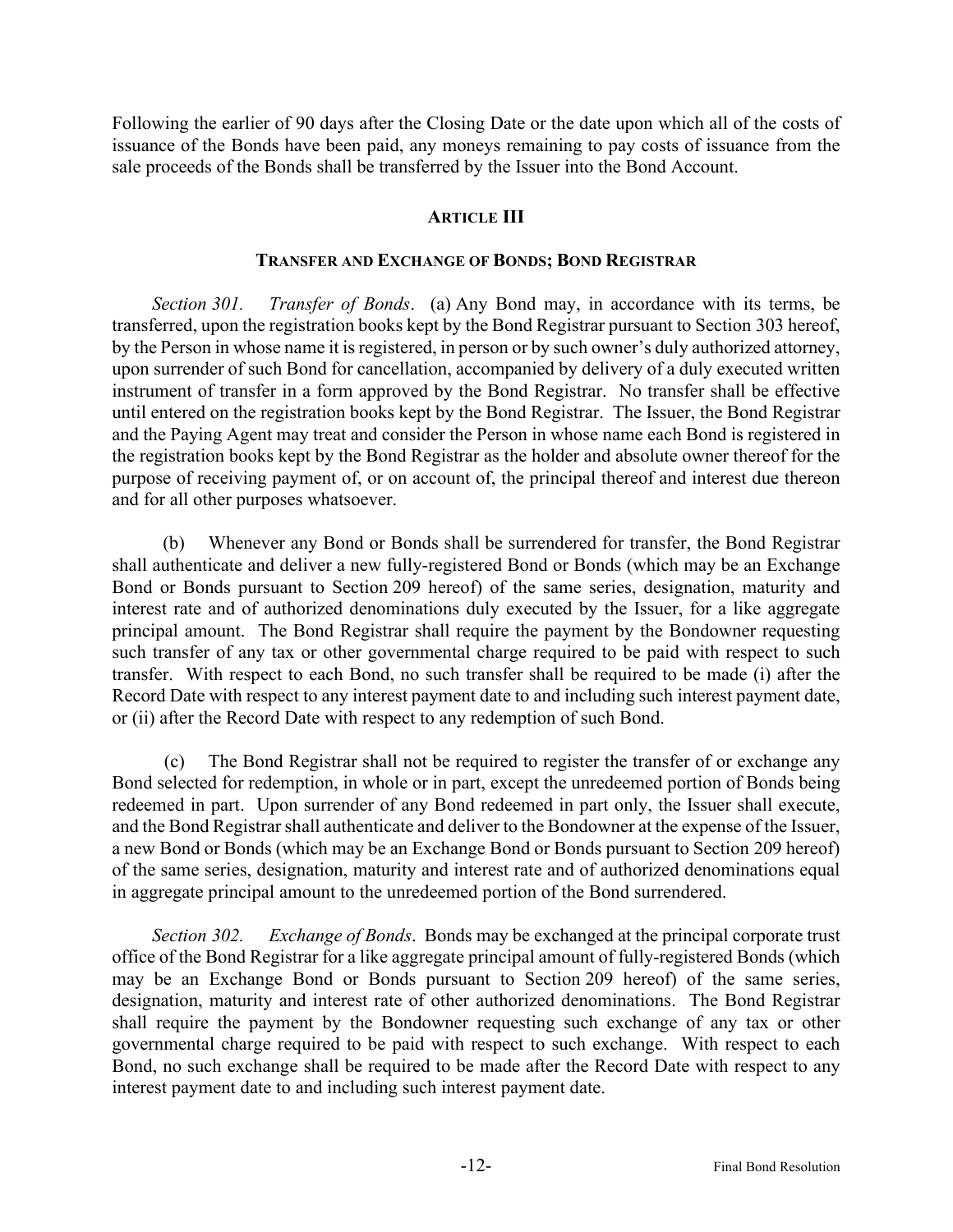Following the earlier of 90 days after the Closing Date or the date upon which all of the costs of issuance of the Bonds have been paid, any moneys remaining to pay costs of issuance from the sale proceeds of the Bonds shall be transferred by the Issuer into the Bond Account.

## **ARTICLE III**

#### **TRANSFER AND EXCHANGE OF BONDS; BOND REGISTRAR**

*Section 301. Transfer of Bonds*. (a) Any Bond may, in accordance with its terms, be transferred, upon the registration books kept by the Bond Registrar pursuant to Section 303 hereof, by the Person in whose name it is registered, in person or by such owner's duly authorized attorney, upon surrender of such Bond for cancellation, accompanied by delivery of a duly executed written instrument of transfer in a form approved by the Bond Registrar. No transfer shall be effective until entered on the registration books kept by the Bond Registrar. The Issuer, the Bond Registrar and the Paying Agent may treat and consider the Person in whose name each Bond is registered in the registration books kept by the Bond Registrar as the holder and absolute owner thereof for the purpose of receiving payment of, or on account of, the principal thereof and interest due thereon and for all other purposes whatsoever.

(b) Whenever any Bond or Bonds shall be surrendered for transfer, the Bond Registrar shall authenticate and deliver a new fully-registered Bond or Bonds (which may be an Exchange Bond or Bonds pursuant to Section 209 hereof) of the same series, designation, maturity and interest rate and of authorized denominations duly executed by the Issuer, for a like aggregate principal amount. The Bond Registrar shall require the payment by the Bondowner requesting such transfer of any tax or other governmental charge required to be paid with respect to such transfer. With respect to each Bond, no such transfer shall be required to be made (i) after the Record Date with respect to any interest payment date to and including such interest payment date, or (ii) after the Record Date with respect to any redemption of such Bond.

(c) The Bond Registrar shall not be required to register the transfer of or exchange any Bond selected for redemption, in whole or in part, except the unredeemed portion of Bonds being redeemed in part. Upon surrender of any Bond redeemed in part only, the Issuer shall execute, and the Bond Registrar shall authenticate and deliver to the Bondowner at the expense of the Issuer, a new Bond or Bonds (which may be an Exchange Bond or Bonds pursuant to Section 209 hereof) of the same series, designation, maturity and interest rate and of authorized denominations equal in aggregate principal amount to the unredeemed portion of the Bond surrendered.

*Section 302. Exchange of Bonds*. Bonds may be exchanged at the principal corporate trust office of the Bond Registrar for a like aggregate principal amount of fully-registered Bonds (which may be an Exchange Bond or Bonds pursuant to Section 209 hereof) of the same series, designation, maturity and interest rate of other authorized denominations. The Bond Registrar shall require the payment by the Bondowner requesting such exchange of any tax or other governmental charge required to be paid with respect to such exchange. With respect to each Bond, no such exchange shall be required to be made after the Record Date with respect to any interest payment date to and including such interest payment date.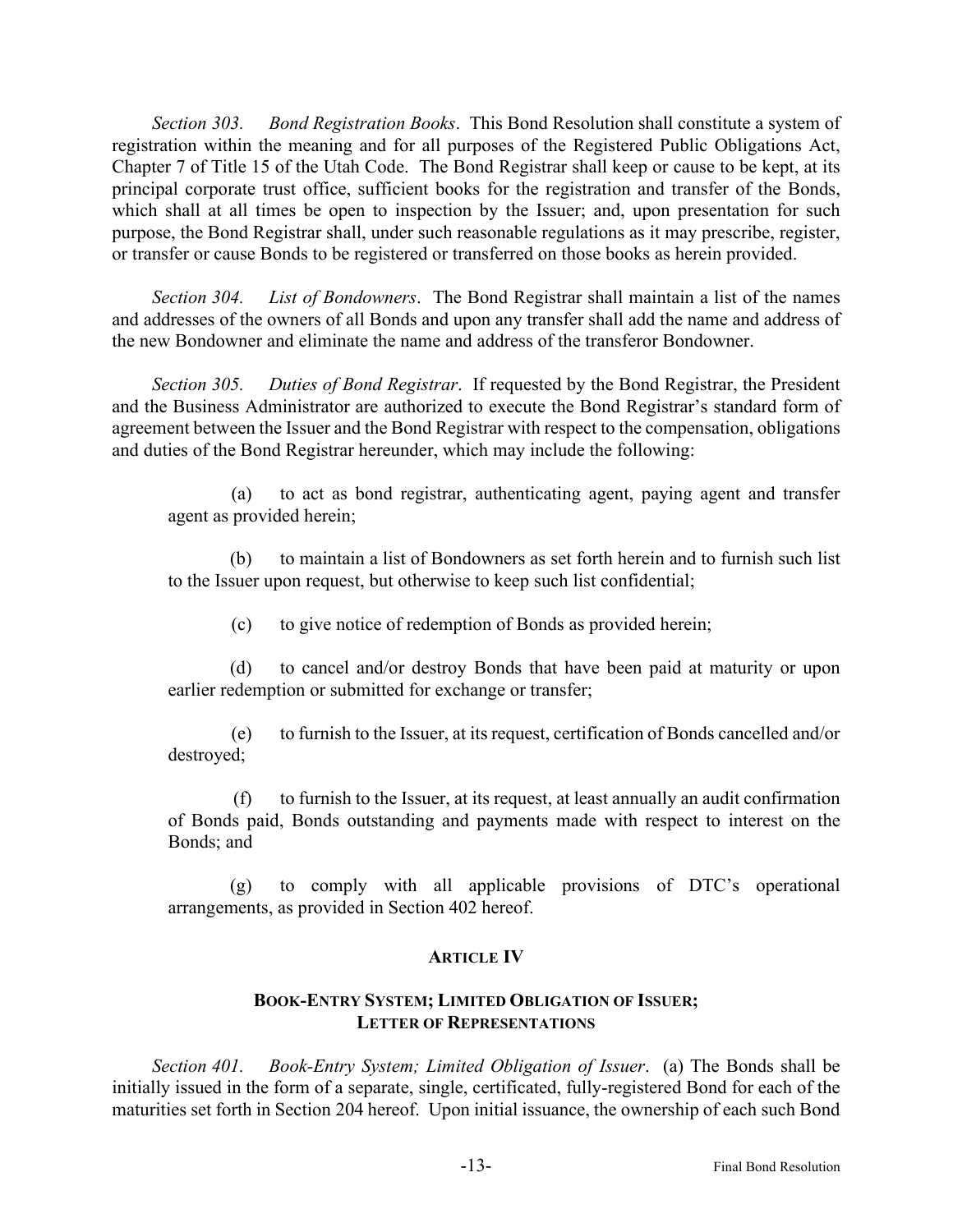*Section 303. Bond Registration Books*. This Bond Resolution shall constitute a system of registration within the meaning and for all purposes of the Registered Public Obligations Act, Chapter 7 of Title 15 of the Utah Code. The Bond Registrar shall keep or cause to be kept, at its principal corporate trust office, sufficient books for the registration and transfer of the Bonds, which shall at all times be open to inspection by the Issuer; and, upon presentation for such purpose, the Bond Registrar shall, under such reasonable regulations as it may prescribe, register, or transfer or cause Bonds to be registered or transferred on those books as herein provided.

*Section 304. List of Bondowners*. The Bond Registrar shall maintain a list of the names and addresses of the owners of all Bonds and upon any transfer shall add the name and address of the new Bondowner and eliminate the name and address of the transferor Bondowner.

*Section 305. Duties of Bond Registrar*. If requested by the Bond Registrar, the President and the Business Administrator are authorized to execute the Bond Registrar's standard form of agreement between the Issuer and the Bond Registrar with respect to the compensation, obligations and duties of the Bond Registrar hereunder, which may include the following:

(a) to act as bond registrar, authenticating agent, paying agent and transfer agent as provided herein;

(b) to maintain a list of Bondowners as set forth herein and to furnish such list to the Issuer upon request, but otherwise to keep such list confidential;

(c) to give notice of redemption of Bonds as provided herein;

(d) to cancel and/or destroy Bonds that have been paid at maturity or upon earlier redemption or submitted for exchange or transfer;

(e) to furnish to the Issuer, at its request, certification of Bonds cancelled and/or destroyed;

(f) to furnish to the Issuer, at its request, at least annually an audit confirmation of Bonds paid, Bonds outstanding and payments made with respect to interest on the Bonds; and

(g) to comply with all applicable provisions of DTC's operational arrangements, as provided in Section 402 hereof.

## **ARTICLE IV**

## **BOOK-ENTRY SYSTEM; LIMITED OBLIGATION OF ISSUER; LETTER OF REPRESENTATIONS**

*Section 401. Book-Entry System; Limited Obligation of Issuer*. (a) The Bonds shall be initially issued in the form of a separate, single, certificated, fully-registered Bond for each of the maturities set forth in Section 204 hereof. Upon initial issuance, the ownership of each such Bond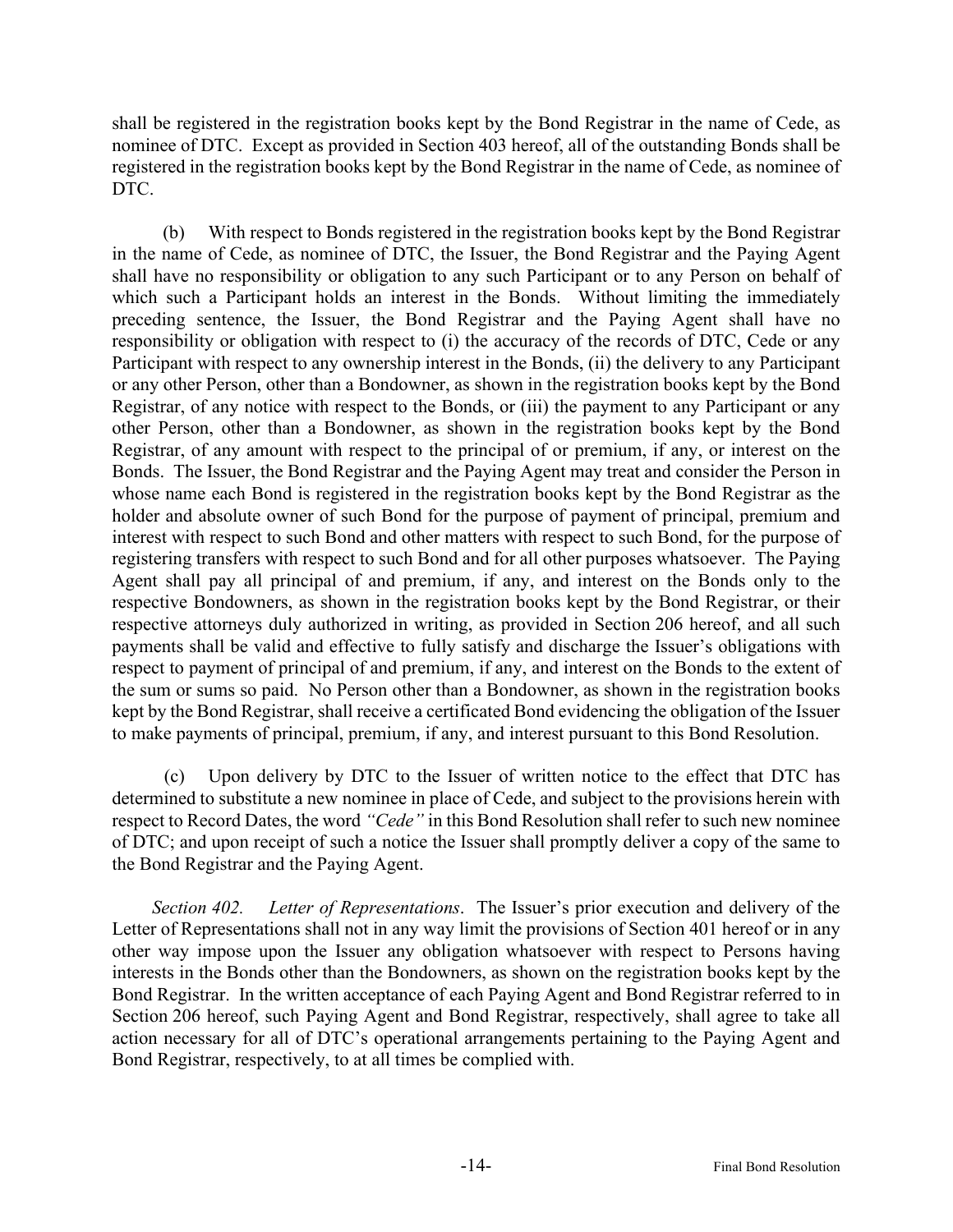shall be registered in the registration books kept by the Bond Registrar in the name of Cede, as nominee of DTC. Except as provided in Section 403 hereof, all of the outstanding Bonds shall be registered in the registration books kept by the Bond Registrar in the name of Cede, as nominee of DTC.

(b) With respect to Bonds registered in the registration books kept by the Bond Registrar in the name of Cede, as nominee of DTC, the Issuer, the Bond Registrar and the Paying Agent shall have no responsibility or obligation to any such Participant or to any Person on behalf of which such a Participant holds an interest in the Bonds. Without limiting the immediately preceding sentence, the Issuer, the Bond Registrar and the Paying Agent shall have no responsibility or obligation with respect to (i) the accuracy of the records of DTC, Cede or any Participant with respect to any ownership interest in the Bonds, (ii) the delivery to any Participant or any other Person, other than a Bondowner, as shown in the registration books kept by the Bond Registrar, of any notice with respect to the Bonds, or (iii) the payment to any Participant or any other Person, other than a Bondowner, as shown in the registration books kept by the Bond Registrar, of any amount with respect to the principal of or premium, if any, or interest on the Bonds. The Issuer, the Bond Registrar and the Paying Agent may treat and consider the Person in whose name each Bond is registered in the registration books kept by the Bond Registrar as the holder and absolute owner of such Bond for the purpose of payment of principal, premium and interest with respect to such Bond and other matters with respect to such Bond, for the purpose of registering transfers with respect to such Bond and for all other purposes whatsoever. The Paying Agent shall pay all principal of and premium, if any, and interest on the Bonds only to the respective Bondowners, as shown in the registration books kept by the Bond Registrar, or their respective attorneys duly authorized in writing, as provided in Section 206 hereof, and all such payments shall be valid and effective to fully satisfy and discharge the Issuer's obligations with respect to payment of principal of and premium, if any, and interest on the Bonds to the extent of the sum or sums so paid. No Person other than a Bondowner, as shown in the registration books kept by the Bond Registrar, shall receive a certificated Bond evidencing the obligation of the Issuer to make payments of principal, premium, if any, and interest pursuant to this Bond Resolution.

(c) Upon delivery by DTC to the Issuer of written notice to the effect that DTC has determined to substitute a new nominee in place of Cede, and subject to the provisions herein with respect to Record Dates, the word *"Cede"* in this Bond Resolution shall refer to such new nominee of DTC; and upon receipt of such a notice the Issuer shall promptly deliver a copy of the same to the Bond Registrar and the Paying Agent.

*Section 402. Letter of Representations*. The Issuer's prior execution and delivery of the Letter of Representations shall not in any way limit the provisions of Section 401 hereof or in any other way impose upon the Issuer any obligation whatsoever with respect to Persons having interests in the Bonds other than the Bondowners, as shown on the registration books kept by the Bond Registrar. In the written acceptance of each Paying Agent and Bond Registrar referred to in Section 206 hereof, such Paying Agent and Bond Registrar, respectively, shall agree to take all action necessary for all of DTC's operational arrangements pertaining to the Paying Agent and Bond Registrar, respectively, to at all times be complied with.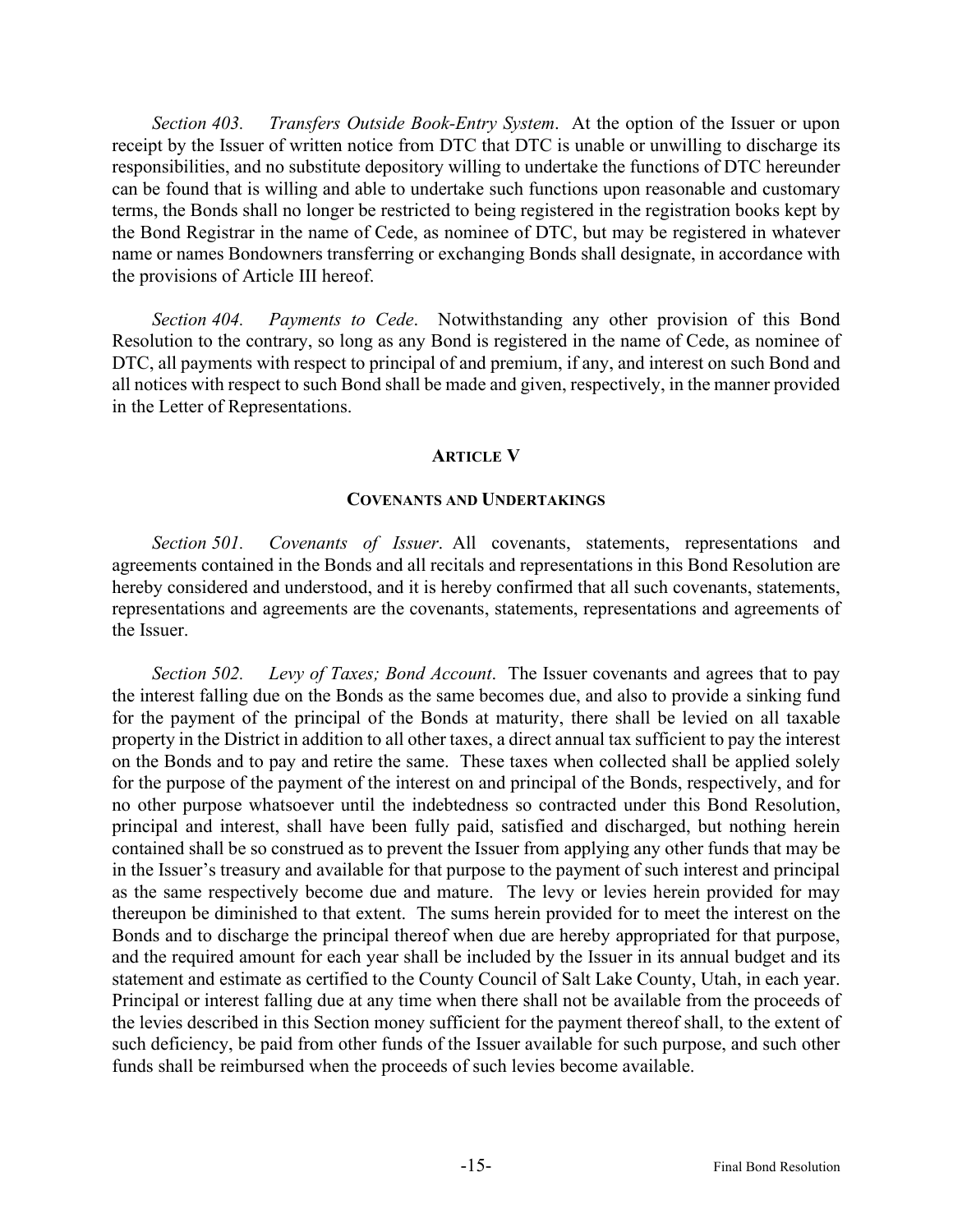*Section 403. Transfers Outside Book-Entry System*. At the option of the Issuer or upon receipt by the Issuer of written notice from DTC that DTC is unable or unwilling to discharge its responsibilities, and no substitute depository willing to undertake the functions of DTC hereunder can be found that is willing and able to undertake such functions upon reasonable and customary terms, the Bonds shall no longer be restricted to being registered in the registration books kept by the Bond Registrar in the name of Cede, as nominee of DTC, but may be registered in whatever name or names Bondowners transferring or exchanging Bonds shall designate, in accordance with the provisions of Article III hereof.

*Section 404. Payments to Cede*. Notwithstanding any other provision of this Bond Resolution to the contrary, so long as any Bond is registered in the name of Cede, as nominee of DTC, all payments with respect to principal of and premium, if any, and interest on such Bond and all notices with respect to such Bond shall be made and given, respectively, in the manner provided in the Letter of Representations.

#### **ARTICLE V**

#### **COVENANTS AND UNDERTAKINGS**

*Section 501. Covenants of Issuer*. All covenants, statements, representations and agreements contained in the Bonds and all recitals and representations in this Bond Resolution are hereby considered and understood, and it is hereby confirmed that all such covenants, statements, representations and agreements are the covenants, statements, representations and agreements of the Issuer.

*Section 502. Levy of Taxes; Bond Account*. The Issuer covenants and agrees that to pay the interest falling due on the Bonds as the same becomes due, and also to provide a sinking fund for the payment of the principal of the Bonds at maturity, there shall be levied on all taxable property in the District in addition to all other taxes, a direct annual tax sufficient to pay the interest on the Bonds and to pay and retire the same. These taxes when collected shall be applied solely for the purpose of the payment of the interest on and principal of the Bonds, respectively, and for no other purpose whatsoever until the indebtedness so contracted under this Bond Resolution, principal and interest, shall have been fully paid, satisfied and discharged, but nothing herein contained shall be so construed as to prevent the Issuer from applying any other funds that may be in the Issuer's treasury and available for that purpose to the payment of such interest and principal as the same respectively become due and mature. The levy or levies herein provided for may thereupon be diminished to that extent. The sums herein provided for to meet the interest on the Bonds and to discharge the principal thereof when due are hereby appropriated for that purpose, and the required amount for each year shall be included by the Issuer in its annual budget and its statement and estimate as certified to the County Council of Salt Lake County, Utah, in each year. Principal or interest falling due at any time when there shall not be available from the proceeds of the levies described in this Section money sufficient for the payment thereof shall, to the extent of such deficiency, be paid from other funds of the Issuer available for such purpose, and such other funds shall be reimbursed when the proceeds of such levies become available.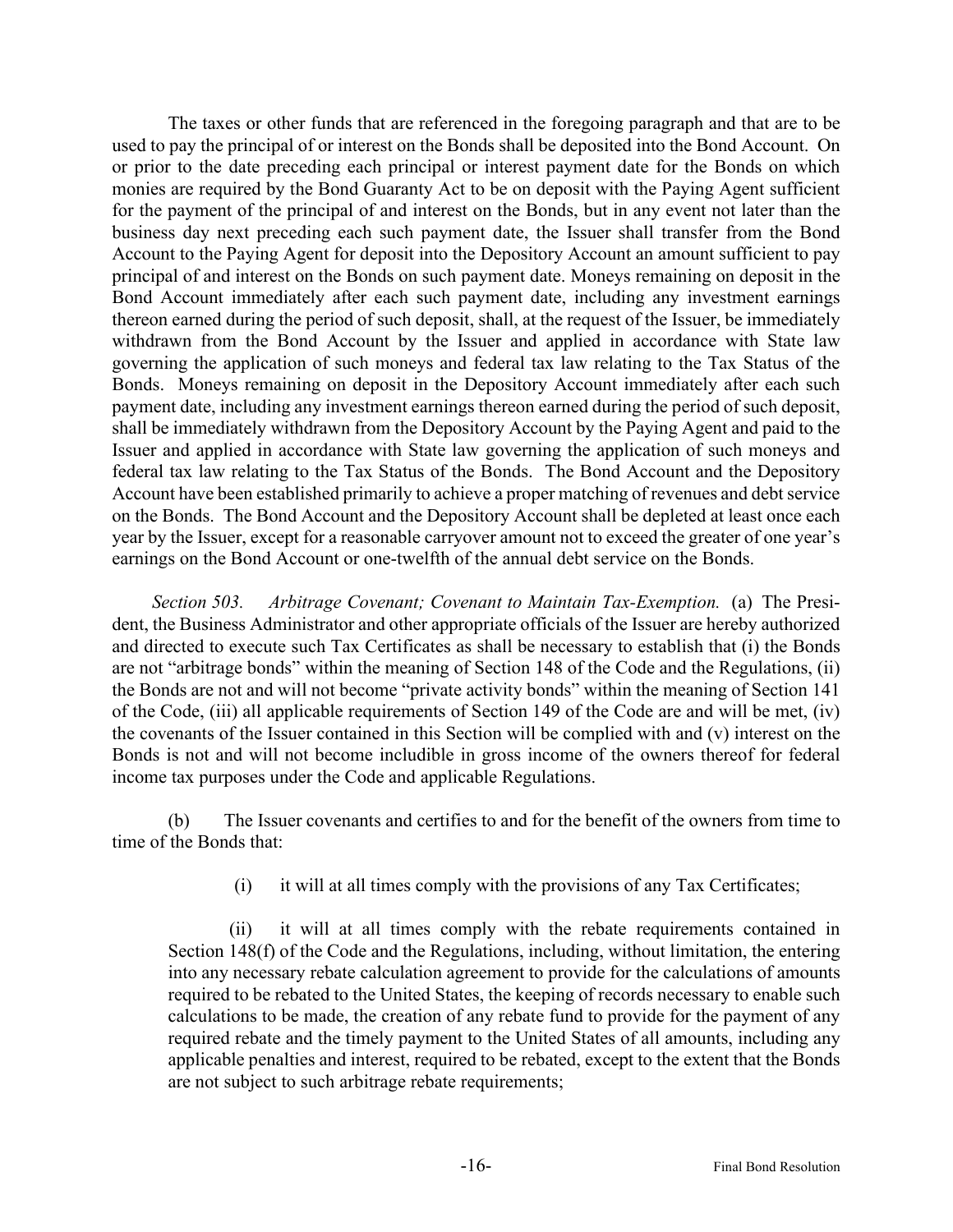The taxes or other funds that are referenced in the foregoing paragraph and that are to be used to pay the principal of or interest on the Bonds shall be deposited into the Bond Account. On or prior to the date preceding each principal or interest payment date for the Bonds on which monies are required by the Bond Guaranty Act to be on deposit with the Paying Agent sufficient for the payment of the principal of and interest on the Bonds, but in any event not later than the business day next preceding each such payment date, the Issuer shall transfer from the Bond Account to the Paying Agent for deposit into the Depository Account an amount sufficient to pay principal of and interest on the Bonds on such payment date. Moneys remaining on deposit in the Bond Account immediately after each such payment date, including any investment earnings thereon earned during the period of such deposit, shall, at the request of the Issuer, be immediately withdrawn from the Bond Account by the Issuer and applied in accordance with State law governing the application of such moneys and federal tax law relating to the Tax Status of the Bonds. Moneys remaining on deposit in the Depository Account immediately after each such payment date, including any investment earnings thereon earned during the period of such deposit, shall be immediately withdrawn from the Depository Account by the Paying Agent and paid to the Issuer and applied in accordance with State law governing the application of such moneys and federal tax law relating to the Tax Status of the Bonds. The Bond Account and the Depository Account have been established primarily to achieve a proper matching of revenues and debt service on the Bonds. The Bond Account and the Depository Account shall be depleted at least once each year by the Issuer, except for a reasonable carryover amount not to exceed the greater of one year's earnings on the Bond Account or one-twelfth of the annual debt service on the Bonds.

*Section 503. Arbitrage Covenant; Covenant to Maintain Tax-Exemption.* (a) The President, the Business Administrator and other appropriate officials of the Issuer are hereby authorized and directed to execute such Tax Certificates as shall be necessary to establish that (i) the Bonds are not "arbitrage bonds" within the meaning of Section 148 of the Code and the Regulations, (ii) the Bonds are not and will not become "private activity bonds" within the meaning of Section 141 of the Code, (iii) all applicable requirements of Section 149 of the Code are and will be met, (iv) the covenants of the Issuer contained in this Section will be complied with and (v) interest on the Bonds is not and will not become includible in gross income of the owners thereof for federal income tax purposes under the Code and applicable Regulations.

(b) The Issuer covenants and certifies to and for the benefit of the owners from time to time of the Bonds that:

(i) it will at all times comply with the provisions of any Tax Certificates;

(ii) it will at all times comply with the rebate requirements contained in Section 148(f) of the Code and the Regulations, including, without limitation, the entering into any necessary rebate calculation agreement to provide for the calculations of amounts required to be rebated to the United States, the keeping of records necessary to enable such calculations to be made, the creation of any rebate fund to provide for the payment of any required rebate and the timely payment to the United States of all amounts, including any applicable penalties and interest, required to be rebated, except to the extent that the Bonds are not subject to such arbitrage rebate requirements;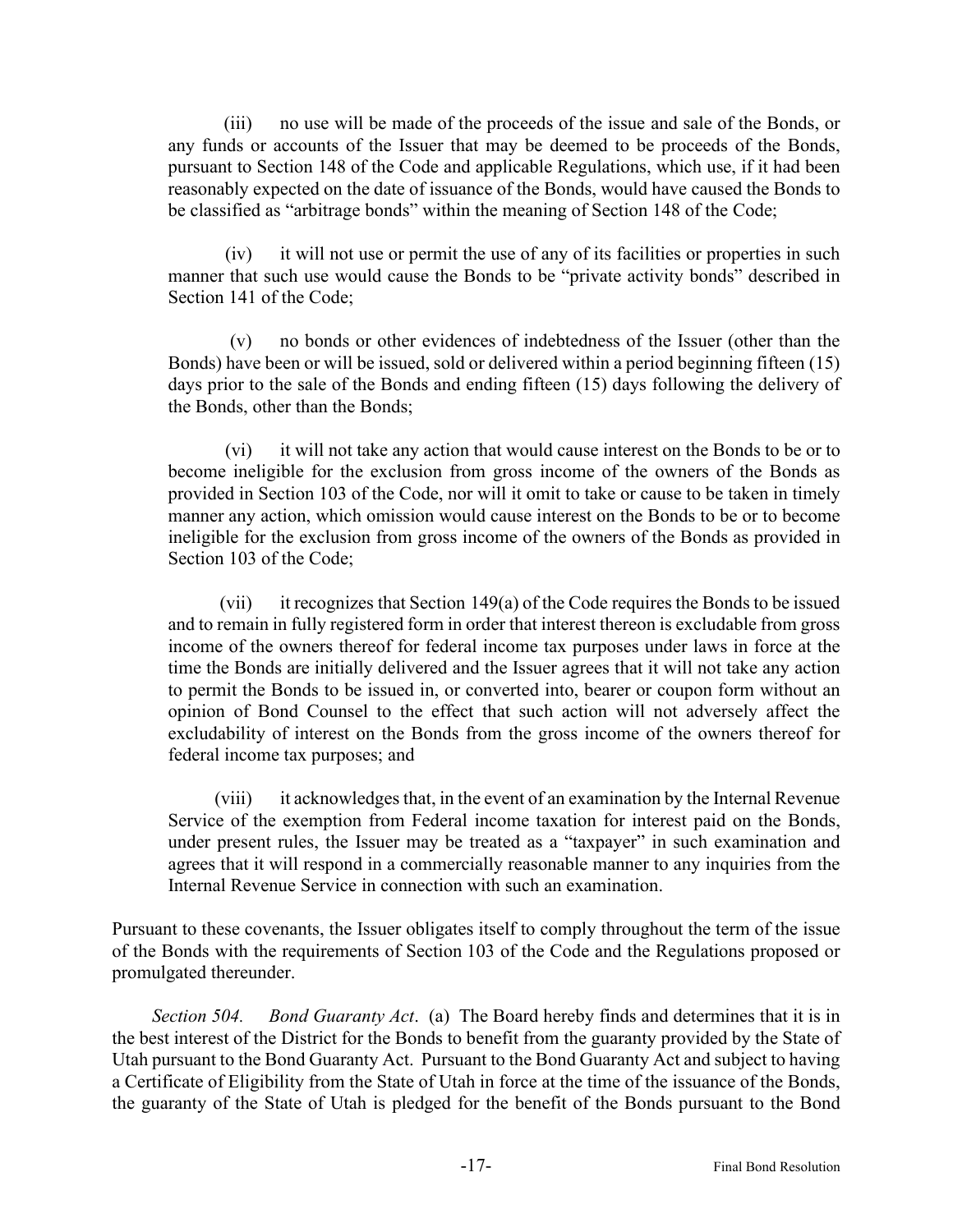(iii) no use will be made of the proceeds of the issue and sale of the Bonds, or any funds or accounts of the Issuer that may be deemed to be proceeds of the Bonds, pursuant to Section 148 of the Code and applicable Regulations, which use, if it had been reasonably expected on the date of issuance of the Bonds, would have caused the Bonds to be classified as "arbitrage bonds" within the meaning of Section 148 of the Code;

(iv) it will not use or permit the use of any of its facilities or properties in such manner that such use would cause the Bonds to be "private activity bonds" described in Section 141 of the Code;

(v) no bonds or other evidences of indebtedness of the Issuer (other than the Bonds) have been or will be issued, sold or delivered within a period beginning fifteen (15) days prior to the sale of the Bonds and ending fifteen (15) days following the delivery of the Bonds, other than the Bonds;

(vi) it will not take any action that would cause interest on the Bonds to be or to become ineligible for the exclusion from gross income of the owners of the Bonds as provided in Section 103 of the Code, nor will it omit to take or cause to be taken in timely manner any action, which omission would cause interest on the Bonds to be or to become ineligible for the exclusion from gross income of the owners of the Bonds as provided in Section 103 of the Code;

(vii) it recognizes that Section 149(a) of the Code requires the Bonds to be issued and to remain in fully registered form in order that interest thereon is excludable from gross income of the owners thereof for federal income tax purposes under laws in force at the time the Bonds are initially delivered and the Issuer agrees that it will not take any action to permit the Bonds to be issued in, or converted into, bearer or coupon form without an opinion of Bond Counsel to the effect that such action will not adversely affect the excludability of interest on the Bonds from the gross income of the owners thereof for federal income tax purposes; and

(viii) it acknowledges that, in the event of an examination by the Internal Revenue Service of the exemption from Federal income taxation for interest paid on the Bonds, under present rules, the Issuer may be treated as a "taxpayer" in such examination and agrees that it will respond in a commercially reasonable manner to any inquiries from the Internal Revenue Service in connection with such an examination.

Pursuant to these covenants, the Issuer obligates itself to comply throughout the term of the issue of the Bonds with the requirements of Section 103 of the Code and the Regulations proposed or promulgated thereunder.

*Section 504. Bond Guaranty Act*. (a) The Board hereby finds and determines that it is in the best interest of the District for the Bonds to benefit from the guaranty provided by the State of Utah pursuant to the Bond Guaranty Act. Pursuant to the Bond Guaranty Act and subject to having a Certificate of Eligibility from the State of Utah in force at the time of the issuance of the Bonds, the guaranty of the State of Utah is pledged for the benefit of the Bonds pursuant to the Bond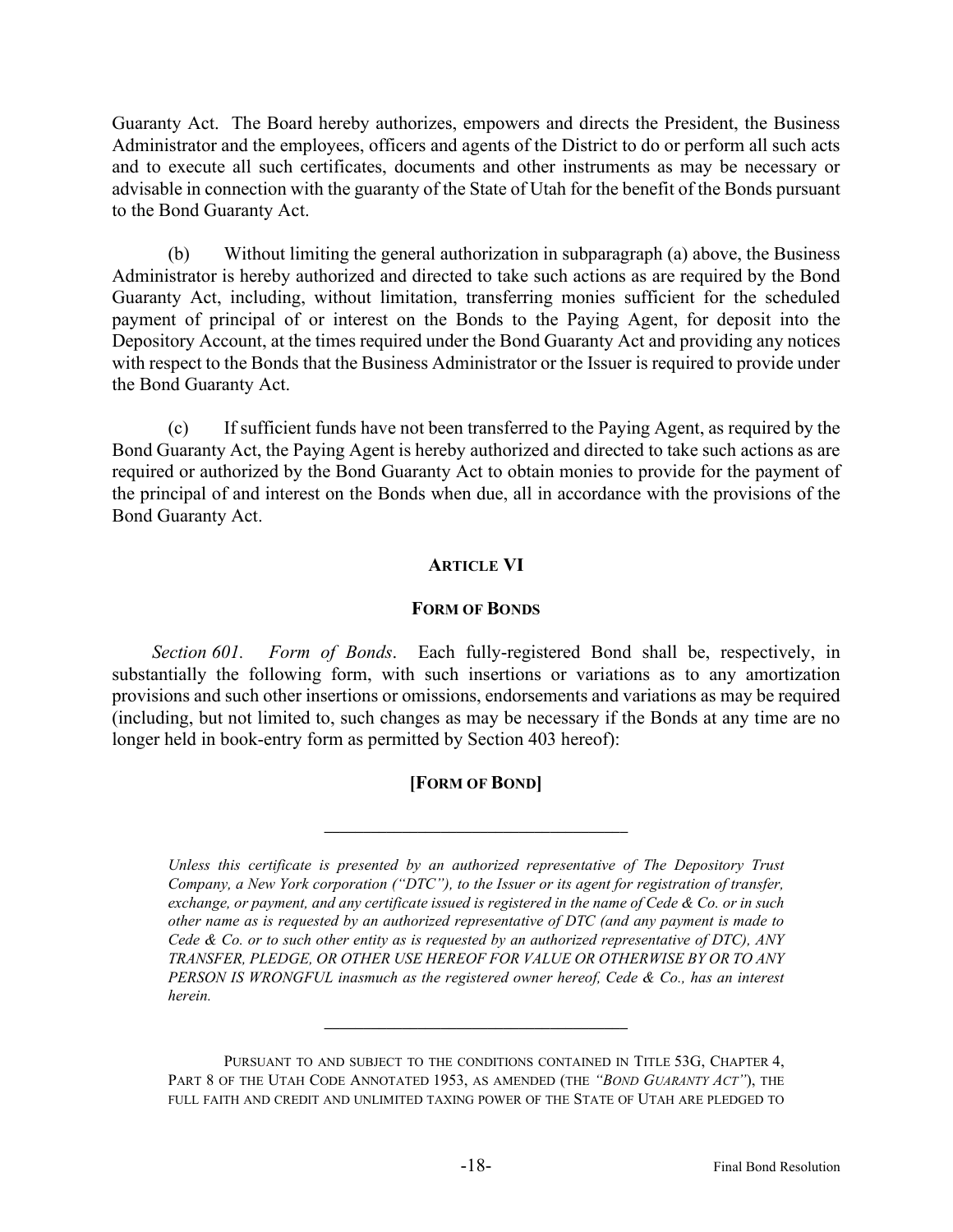Guaranty Act. The Board hereby authorizes, empowers and directs the President, the Business Administrator and the employees, officers and agents of the District to do or perform all such acts and to execute all such certificates, documents and other instruments as may be necessary or advisable in connection with the guaranty of the State of Utah for the benefit of the Bonds pursuant to the Bond Guaranty Act.

(b) Without limiting the general authorization in subparagraph (a) above, the Business Administrator is hereby authorized and directed to take such actions as are required by the Bond Guaranty Act, including, without limitation, transferring monies sufficient for the scheduled payment of principal of or interest on the Bonds to the Paying Agent, for deposit into the Depository Account, at the times required under the Bond Guaranty Act and providing any notices with respect to the Bonds that the Business Administrator or the Issuer is required to provide under the Bond Guaranty Act.

(c) If sufficient funds have not been transferred to the Paying Agent, as required by the Bond Guaranty Act, the Paying Agent is hereby authorized and directed to take such actions as are required or authorized by the Bond Guaranty Act to obtain monies to provide for the payment of the principal of and interest on the Bonds when due, all in accordance with the provisions of the Bond Guaranty Act.

## **ARTICLE VI**

### **FORM OF BONDS**

*Section 601. Form of Bonds*. Each fully-registered Bond shall be, respectively, in substantially the following form, with such insertions or variations as to any amortization provisions and such other insertions or omissions, endorsements and variations as may be required (including, but not limited to, such changes as may be necessary if the Bonds at any time are no longer held in book-entry form as permitted by Section 403 hereof):

## **[FORM OF BOND]**

**\_\_\_\_\_\_\_\_\_\_\_\_\_\_\_\_\_\_\_\_\_\_\_\_\_\_\_\_\_\_\_\_\_\_\_\_\_\_\_**

*Unless this certificate is presented by an authorized representative of The Depository Trust Company, a New York corporation ("DTC"), to the Issuer or its agent for registration of transfer, exchange, or payment, and any certificate issued is registered in the name of Cede & Co. or in such other name as is requested by an authorized representative of DTC (and any payment is made to Cede & Co. or to such other entity as is requested by an authorized representative of DTC), ANY TRANSFER, PLEDGE, OR OTHER USE HEREOF FOR VALUE OR OTHERWISE BY OR TO ANY PERSON IS WRONGFUL inasmuch as the registered owner hereof, Cede & Co., has an interest herein.*

**\_\_\_\_\_\_\_\_\_\_\_\_\_\_\_\_\_\_\_\_\_\_\_\_\_\_\_\_\_\_\_\_\_\_\_\_\_\_\_**

PURSUANT TO AND SUBJECT TO THE CONDITIONS CONTAINED IN TITLE 53G, CHAPTER 4, PART 8 OF THE UTAH CODE ANNOTATED 1953, AS AMENDED (THE *"BOND GUARANTY ACT"*), THE FULL FAITH AND CREDIT AND UNLIMITED TAXING POWER OF THE STATE OF UTAH ARE PLEDGED TO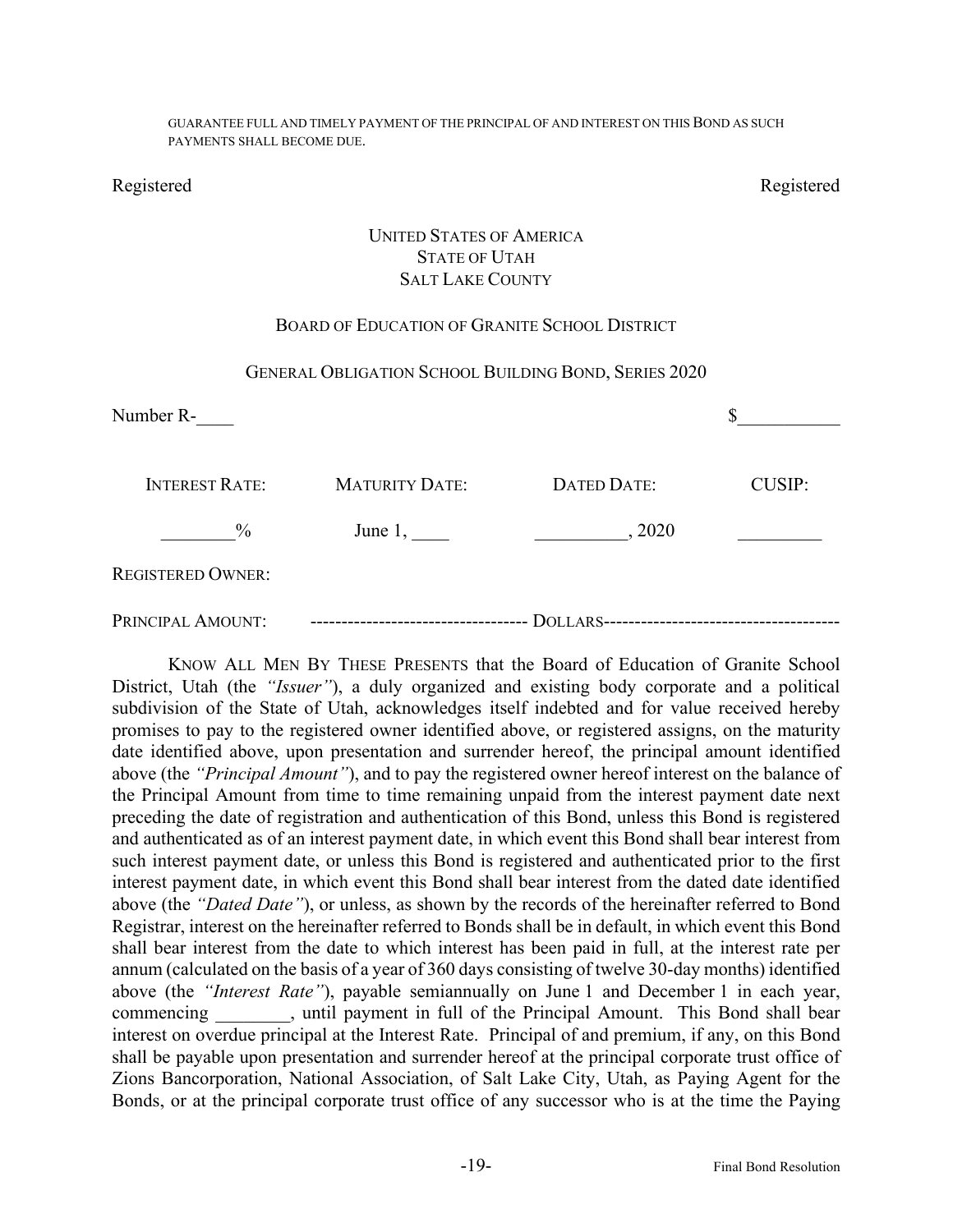GUARANTEE FULL AND TIMELY PAYMENT OF THE PRINCIPAL OF AND INTEREST ON THIS BOND AS SUCH PAYMENTS SHALL BECOME DUE.

Registered Registered

## UNITED STATES OF AMERICA STATE OF UTAH SALT LAKE COUNTY

## BOARD OF EDUCATION OF GRANITE SCHOOL DISTRICT

#### GENERAL OBLIGATION SCHOOL BUILDING BOND, SERIES 2020

| Number R-                |                       |             |               |
|--------------------------|-----------------------|-------------|---------------|
| <b>INTEREST RATE:</b>    | <b>MATURITY DATE:</b> | DATED DATE: | <b>CUSIP:</b> |
| $\frac{0}{0}$            | June $1,$             | , 2020      |               |
| <b>REGISTERED OWNER:</b> |                       |             |               |
| PRINCIPAL AMOUNT:        |                       |             |               |

KNOW ALL MEN BY THESE PRESENTS that the Board of Education of Granite School District, Utah (the *"Issuer"*), a duly organized and existing body corporate and a political subdivision of the State of Utah, acknowledges itself indebted and for value received hereby promises to pay to the registered owner identified above, or registered assigns, on the maturity date identified above, upon presentation and surrender hereof, the principal amount identified above (the *"Principal Amount"*), and to pay the registered owner hereof interest on the balance of the Principal Amount from time to time remaining unpaid from the interest payment date next preceding the date of registration and authentication of this Bond, unless this Bond is registered and authenticated as of an interest payment date, in which event this Bond shall bear interest from such interest payment date, or unless this Bond is registered and authenticated prior to the first interest payment date, in which event this Bond shall bear interest from the dated date identified above (the *"Dated Date"*), or unless, as shown by the records of the hereinafter referred to Bond Registrar, interest on the hereinafter referred to Bonds shall be in default, in which event this Bond shall bear interest from the date to which interest has been paid in full, at the interest rate per annum (calculated on the basis of a year of 360 days consisting of twelve 30-day months) identified above (the *"Interest Rate"*), payable semiannually on June 1 and December 1 in each year, commencing extend the summarist commencing the summarist commencing the variable summarist commencing the VI amount. This Bond shall bear interest on overdue principal at the Interest Rate. Principal of and premium, if any, on this Bond shall be payable upon presentation and surrender hereof at the principal corporate trust office of Zions Bancorporation, National Association, of Salt Lake City, Utah, as Paying Agent for the Bonds, or at the principal corporate trust office of any successor who is at the time the Paying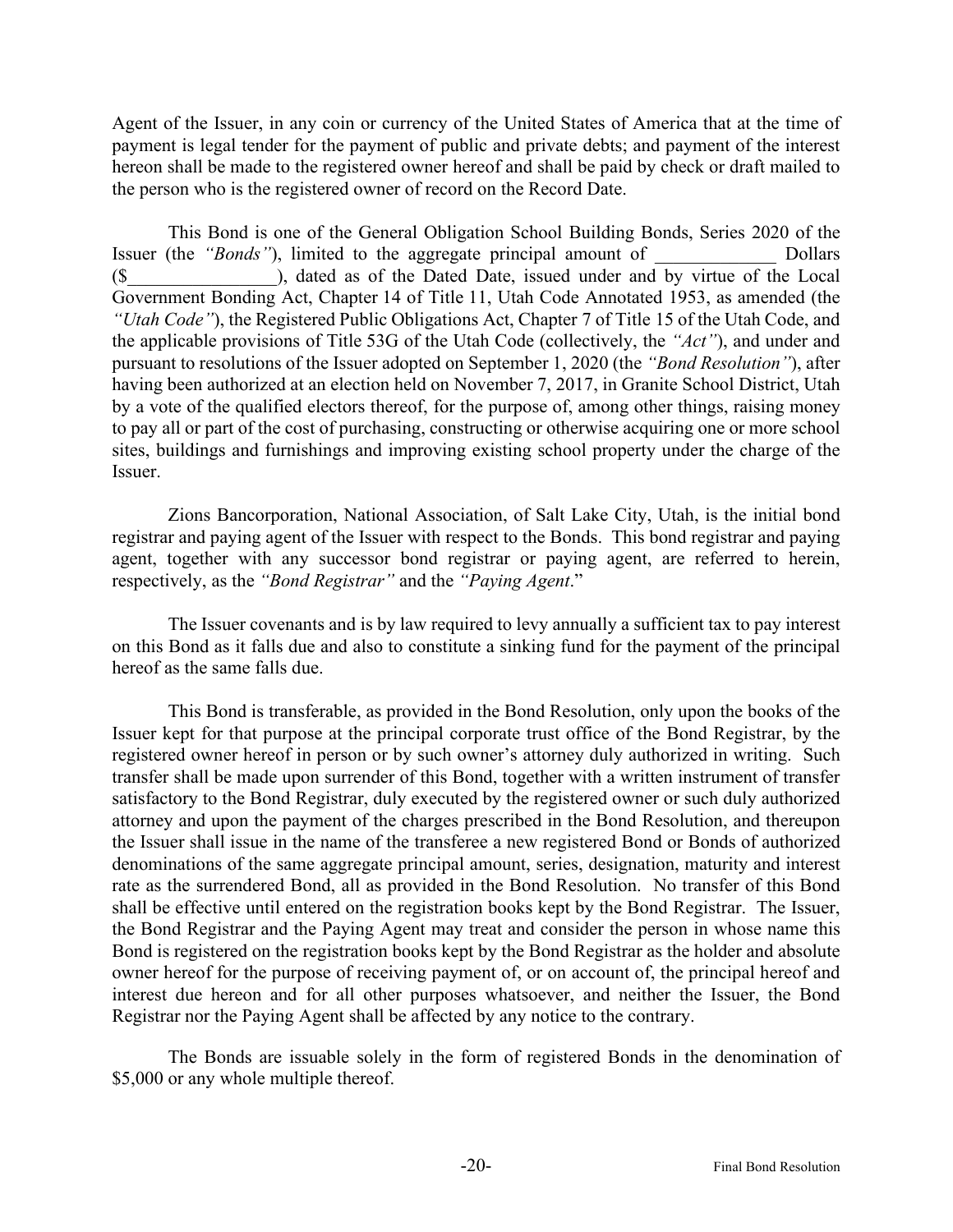Agent of the Issuer, in any coin or currency of the United States of America that at the time of payment is legal tender for the payment of public and private debts; and payment of the interest hereon shall be made to the registered owner hereof and shall be paid by check or draft mailed to the person who is the registered owner of record on the Record Date.

This Bond is one of the General Obligation School Building Bonds, Series 2020 of the Issuer (the *"Bonds"*), limited to the aggregate principal amount of Dollars (\$\_\_\_\_\_\_\_\_\_\_\_\_\_\_\_\_), dated as of the Dated Date, issued under and by virtue of the Local Government Bonding Act, Chapter 14 of Title 11, Utah Code Annotated 1953, as amended (the *"Utah Code"*), the Registered Public Obligations Act, Chapter 7 of Title 15 of the Utah Code, and the applicable provisions of Title 53G of the Utah Code (collectively, the *"Act"*), and under and pursuant to resolutions of the Issuer adopted on September 1, 2020 (the *"Bond Resolution"*), after having been authorized at an election held on November 7, 2017, in Granite School District, Utah by a vote of the qualified electors thereof, for the purpose of, among other things, raising money to pay all or part of the cost of purchasing, constructing or otherwise acquiring one or more school sites, buildings and furnishings and improving existing school property under the charge of the Issuer.

Zions Bancorporation, National Association, of Salt Lake City, Utah, is the initial bond registrar and paying agent of the Issuer with respect to the Bonds. This bond registrar and paying agent, together with any successor bond registrar or paying agent, are referred to herein, respectively, as the *"Bond Registrar"* and the *"Paying Agent*."

The Issuer covenants and is by law required to levy annually a sufficient tax to pay interest on this Bond as it falls due and also to constitute a sinking fund for the payment of the principal hereof as the same falls due.

This Bond is transferable, as provided in the Bond Resolution, only upon the books of the Issuer kept for that purpose at the principal corporate trust office of the Bond Registrar, by the registered owner hereof in person or by such owner's attorney duly authorized in writing. Such transfer shall be made upon surrender of this Bond, together with a written instrument of transfer satisfactory to the Bond Registrar, duly executed by the registered owner or such duly authorized attorney and upon the payment of the charges prescribed in the Bond Resolution, and thereupon the Issuer shall issue in the name of the transferee a new registered Bond or Bonds of authorized denominations of the same aggregate principal amount, series, designation, maturity and interest rate as the surrendered Bond, all as provided in the Bond Resolution. No transfer of this Bond shall be effective until entered on the registration books kept by the Bond Registrar. The Issuer, the Bond Registrar and the Paying Agent may treat and consider the person in whose name this Bond is registered on the registration books kept by the Bond Registrar as the holder and absolute owner hereof for the purpose of receiving payment of, or on account of, the principal hereof and interest due hereon and for all other purposes whatsoever, and neither the Issuer, the Bond Registrar nor the Paying Agent shall be affected by any notice to the contrary.

The Bonds are issuable solely in the form of registered Bonds in the denomination of \$5,000 or any whole multiple thereof.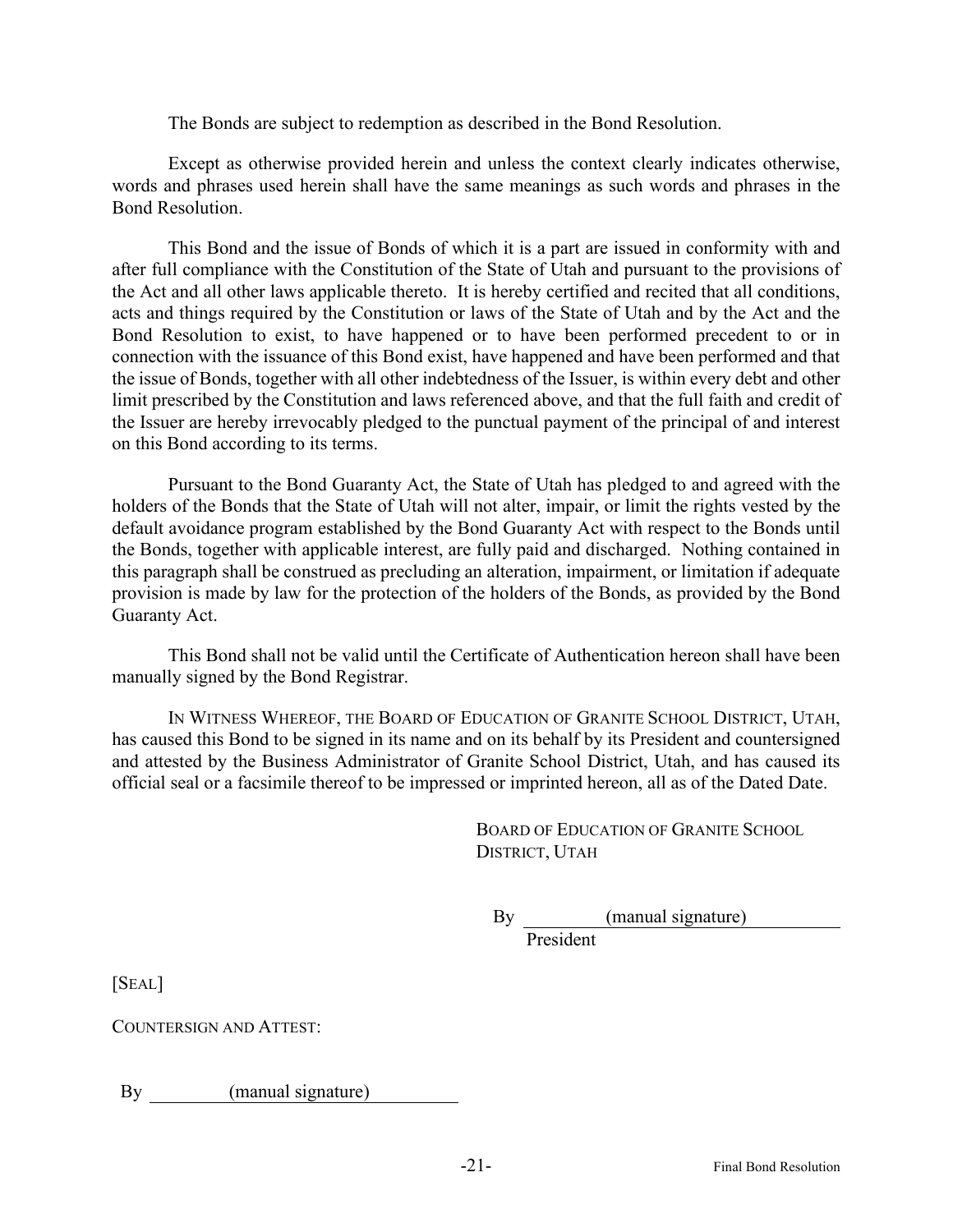The Bonds are subject to redemption as described in the Bond Resolution.

Except as otherwise provided herein and unless the context clearly indicates otherwise, words and phrases used herein shall have the same meanings as such words and phrases in the Bond Resolution.

This Bond and the issue of Bonds of which it is a part are issued in conformity with and after full compliance with the Constitution of the State of Utah and pursuant to the provisions of the Act and all other laws applicable thereto. It is hereby certified and recited that all conditions, acts and things required by the Constitution or laws of the State of Utah and by the Act and the Bond Resolution to exist, to have happened or to have been performed precedent to or in connection with the issuance of this Bond exist, have happened and have been performed and that the issue of Bonds, together with all other indebtedness of the Issuer, is within every debt and other limit prescribed by the Constitution and laws referenced above, and that the full faith and credit of the Issuer are hereby irrevocably pledged to the punctual payment of the principal of and interest on this Bond according to its terms.

Pursuant to the Bond Guaranty Act, the State of Utah has pledged to and agreed with the holders of the Bonds that the State of Utah will not alter, impair, or limit the rights vested by the default avoidance program established by the Bond Guaranty Act with respect to the Bonds until the Bonds, together with applicable interest, are fully paid and discharged. Nothing contained in this paragraph shall be construed as precluding an alteration, impairment, or limitation if adequate provision is made by law for the protection of the holders of the Bonds, as provided by the Bond Guaranty Act.

This Bond shall not be valid until the Certificate of Authentication hereon shall have been manually signed by the Bond Registrar.

IN WITNESS WHEREOF, THE BOARD OF EDUCATION OF GRANITE SCHOOL DISTRICT, UTAH, has caused this Bond to be signed in its name and on its behalf by its President and countersigned and attested by the Business Administrator of Granite School District, Utah, and has caused its official seal or a facsimile thereof to be impressed or imprinted hereon, all as of the Dated Date.

> BOARD OF EDUCATION OF GRANITE SCHOOL DISTRICT, UTAH

By (manual signature) President

[SEAL]

COUNTERSIGN AND ATTEST:

By (manual signature)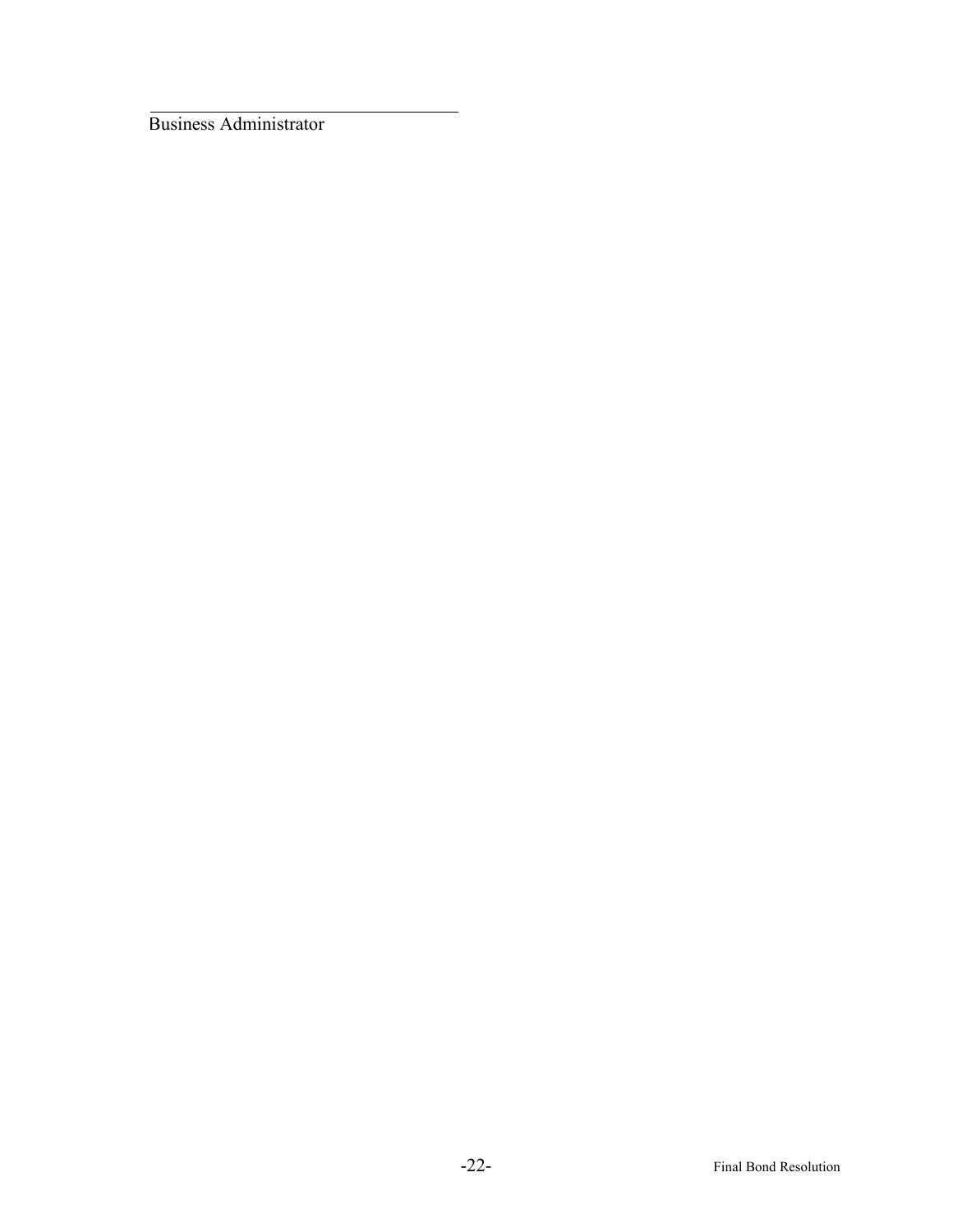Business Administrator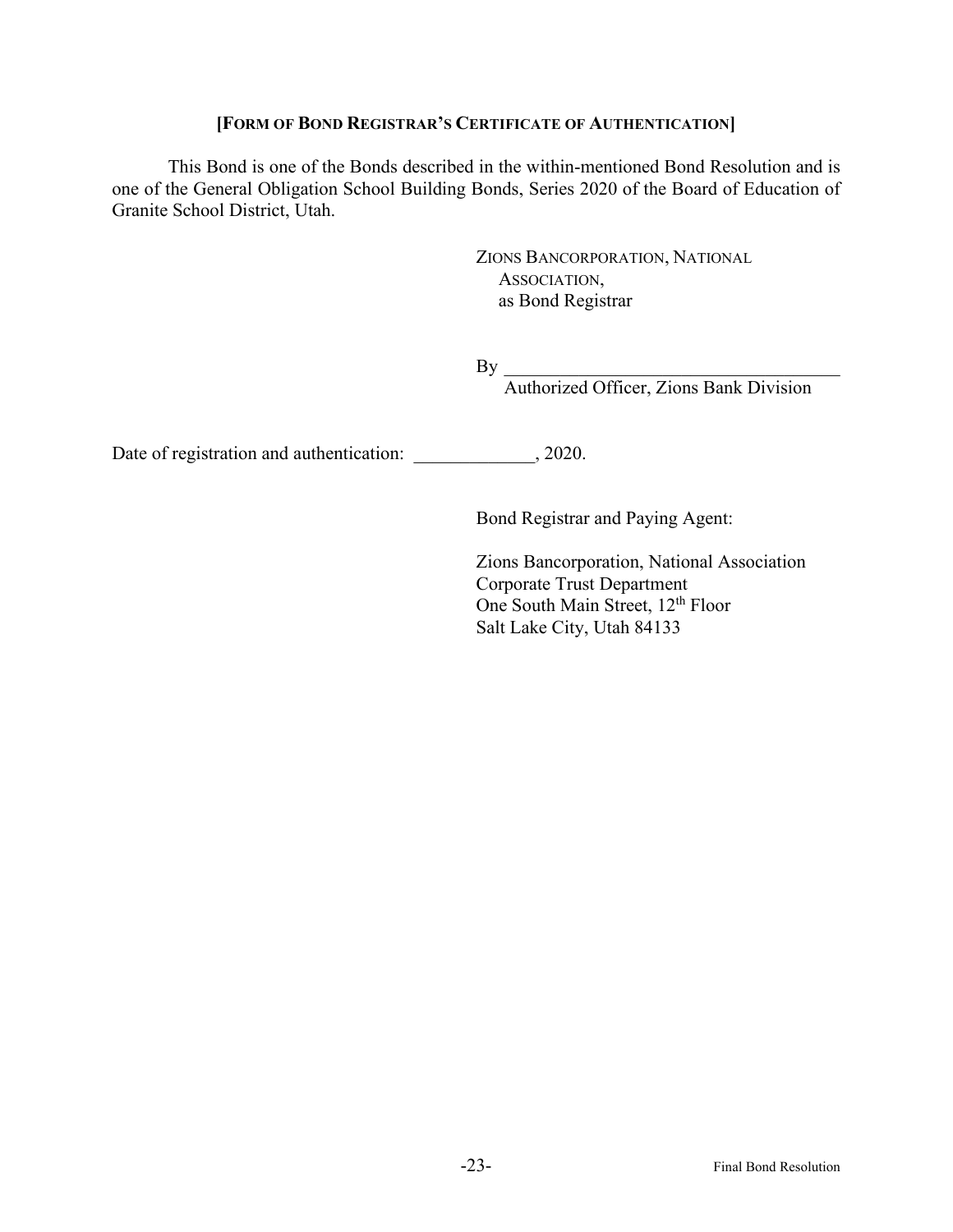# **[FORM OF BOND REGISTRAR'S CERTIFICATE OF AUTHENTICATION]**

This Bond is one of the Bonds described in the within-mentioned Bond Resolution and is one of the General Obligation School Building Bonds, Series 2020 of the Board of Education of Granite School District, Utah.

> ZIONS BANCORPORATION, NATIONAL ASSOCIATION, as Bond Registrar

 $\mathrm{By}$   $\_$ 

Authorized Officer, Zions Bank Division

Date of registration and authentication:  $, 2020$ .

Bond Registrar and Paying Agent:

Zions Bancorporation, National Association Corporate Trust Department One South Main Street, 12<sup>th</sup> Floor Salt Lake City, Utah 84133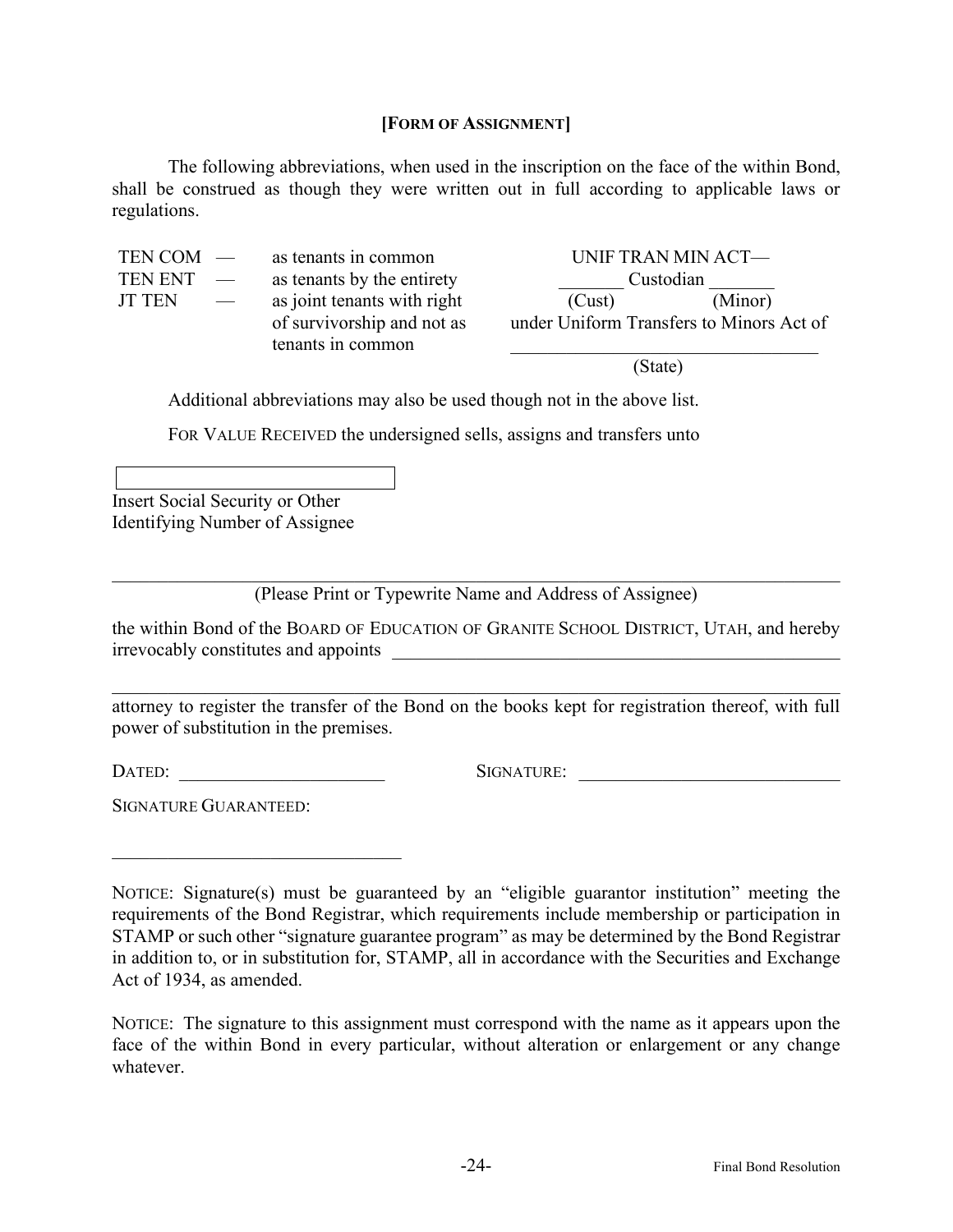## **[FORM OF ASSIGNMENT]**

The following abbreviations, when used in the inscription on the face of the within Bond, shall be construed as though they were written out in full according to applicable laws or regulations.

| $TEN COM$ —   |                          | as tenants in common        | UNIF TRAN MIN ACT—                       |         |
|---------------|--------------------------|-----------------------------|------------------------------------------|---------|
| TEN ENT       | $\frac{1}{2}$            | as tenants by the entirety  | Custodian                                |         |
| <b>JT TEN</b> | $\overline{\phantom{a}}$ | as joint tenants with right | (Cust)                                   | (Minor) |
|               |                          | of survivorship and not as  | under Uniform Transfers to Minors Act of |         |
|               |                          | tenants in common           |                                          |         |

(State)

Additional abbreviations may also be used though not in the above list.

FOR VALUE RECEIVED the undersigned sells, assigns and transfers unto

Insert Social Security or Other Identifying Number of Assignee

(Please Print or Typewrite Name and Address of Assignee)

the within Bond of the BOARD OF EDUCATION OF GRANITE SCHOOL DISTRICT, UTAH, and hereby irrevocably constitutes and appoints \_\_\_\_\_\_\_\_\_\_\_\_\_\_\_\_\_\_\_\_\_\_\_\_\_\_\_\_\_\_\_\_\_\_\_\_\_\_\_\_\_\_\_\_\_\_\_\_

attorney to register the transfer of the Bond on the books kept for registration thereof, with full power of substitution in the premises.

 $\mathcal{L}_\mathcal{L}$ 

DATED: \_\_\_\_\_\_\_\_\_\_\_\_\_\_\_\_\_\_\_\_\_\_ SIGNATURE: \_\_\_\_\_\_\_\_\_\_\_\_\_\_\_\_\_\_\_\_\_\_\_\_\_\_\_\_

SIGNATURE GUARANTEED:

NOTICE: Signature(s) must be guaranteed by an "eligible guarantor institution" meeting the requirements of the Bond Registrar, which requirements include membership or participation in STAMP or such other "signature guarantee program" as may be determined by the Bond Registrar in addition to, or in substitution for, STAMP, all in accordance with the Securities and Exchange Act of 1934, as amended.

NOTICE: The signature to this assignment must correspond with the name as it appears upon the face of the within Bond in every particular, without alteration or enlargement or any change whatever.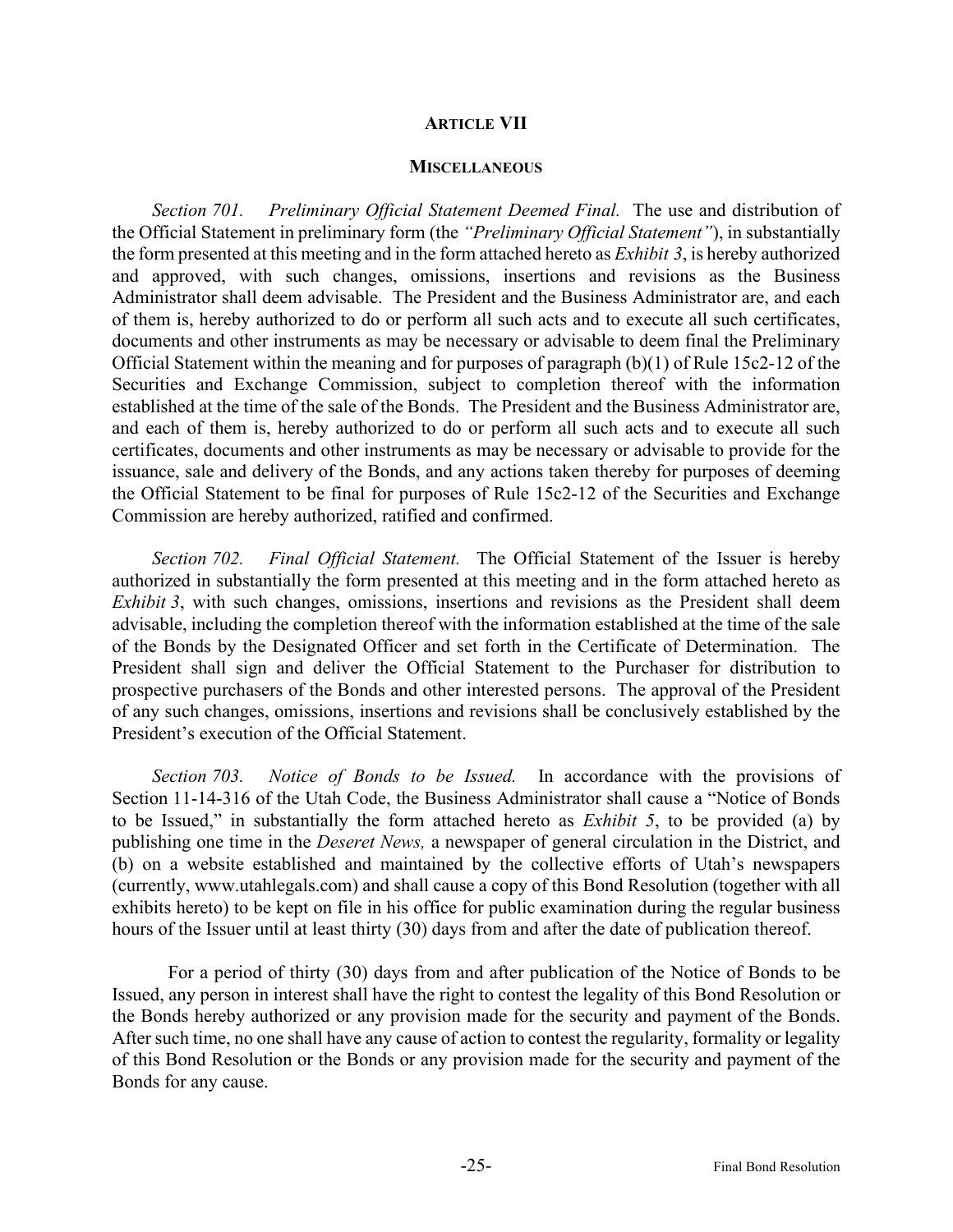#### **ARTICLE VII**

#### **MISCELLANEOUS**

*Section 701. Preliminary Official Statement Deemed Final.* The use and distribution of the Official Statement in preliminary form (the *"Preliminary Official Statement"*), in substantially the form presented at this meeting and in the form attached hereto as *Exhibit 3*, is hereby authorized and approved, with such changes, omissions, insertions and revisions as the Business Administrator shall deem advisable. The President and the Business Administrator are, and each of them is, hereby authorized to do or perform all such acts and to execute all such certificates, documents and other instruments as may be necessary or advisable to deem final the Preliminary Official Statement within the meaning and for purposes of paragraph (b)(1) of Rule 15c2-12 of the Securities and Exchange Commission, subject to completion thereof with the information established at the time of the sale of the Bonds. The President and the Business Administrator are, and each of them is, hereby authorized to do or perform all such acts and to execute all such certificates, documents and other instruments as may be necessary or advisable to provide for the issuance, sale and delivery of the Bonds, and any actions taken thereby for purposes of deeming the Official Statement to be final for purposes of Rule 15c2-12 of the Securities and Exchange Commission are hereby authorized, ratified and confirmed.

*Section 702. Final Official Statement.* The Official Statement of the Issuer is hereby authorized in substantially the form presented at this meeting and in the form attached hereto as *Exhibit* 3, with such changes, omissions, insertions and revisions as the President shall deem advisable, including the completion thereof with the information established at the time of the sale of the Bonds by the Designated Officer and set forth in the Certificate of Determination. The President shall sign and deliver the Official Statement to the Purchaser for distribution to prospective purchasers of the Bonds and other interested persons. The approval of the President of any such changes, omissions, insertions and revisions shall be conclusively established by the President's execution of the Official Statement.

*Section 703. Notice of Bonds to be Issued.* In accordance with the provisions of Section 11-14-316 of the Utah Code, the Business Administrator shall cause a "Notice of Bonds to be Issued," in substantially the form attached hereto as *Exhibit 5*, to be provided (a) by publishing one time in the *Deseret News,* a newspaper of general circulation in the District, and (b) on a website established and maintained by the collective efforts of Utah's newspapers (currently, www.utahlegals.com) and shall cause a copy of this Bond Resolution (together with all exhibits hereto) to be kept on file in his office for public examination during the regular business hours of the Issuer until at least thirty (30) days from and after the date of publication thereof.

For a period of thirty (30) days from and after publication of the Notice of Bonds to be Issued, any person in interest shall have the right to contest the legality of this Bond Resolution or the Bonds hereby authorized or any provision made for the security and payment of the Bonds. After such time, no one shall have any cause of action to contest the regularity, formality or legality of this Bond Resolution or the Bonds or any provision made for the security and payment of the Bonds for any cause.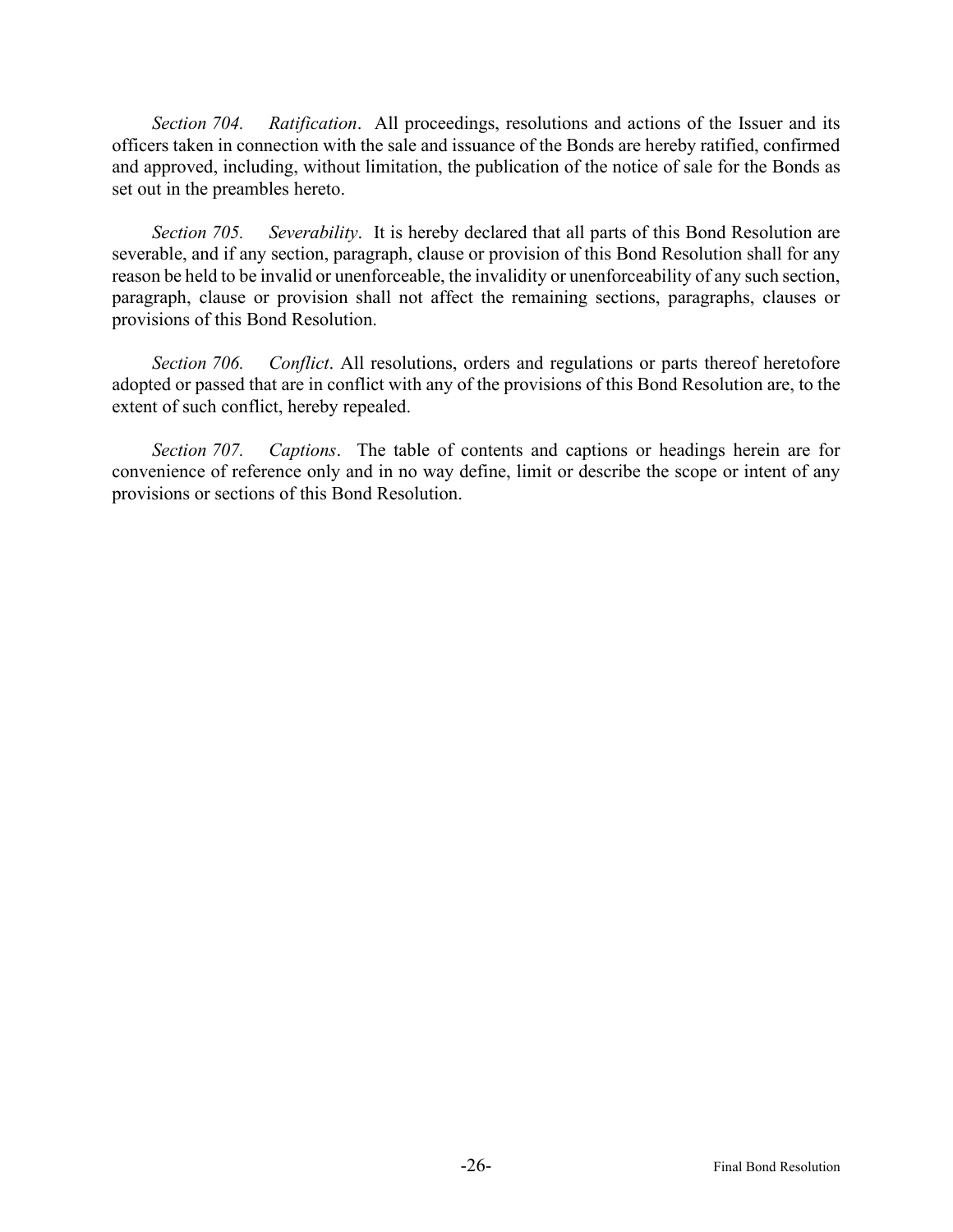*Section 704. Ratification*. All proceedings, resolutions and actions of the Issuer and its officers taken in connection with the sale and issuance of the Bonds are hereby ratified, confirmed and approved, including, without limitation, the publication of the notice of sale for the Bonds as set out in the preambles hereto.

*Section 705. Severability*. It is hereby declared that all parts of this Bond Resolution are severable, and if any section, paragraph, clause or provision of this Bond Resolution shall for any reason be held to be invalid or unenforceable, the invalidity or unenforceability of any such section, paragraph, clause or provision shall not affect the remaining sections, paragraphs, clauses or provisions of this Bond Resolution.

*Section 706. Conflict*. All resolutions, orders and regulations or parts thereof heretofore adopted or passed that are in conflict with any of the provisions of this Bond Resolution are, to the extent of such conflict, hereby repealed.

*Section 707. Captions*. The table of contents and captions or headings herein are for convenience of reference only and in no way define, limit or describe the scope or intent of any provisions or sections of this Bond Resolution.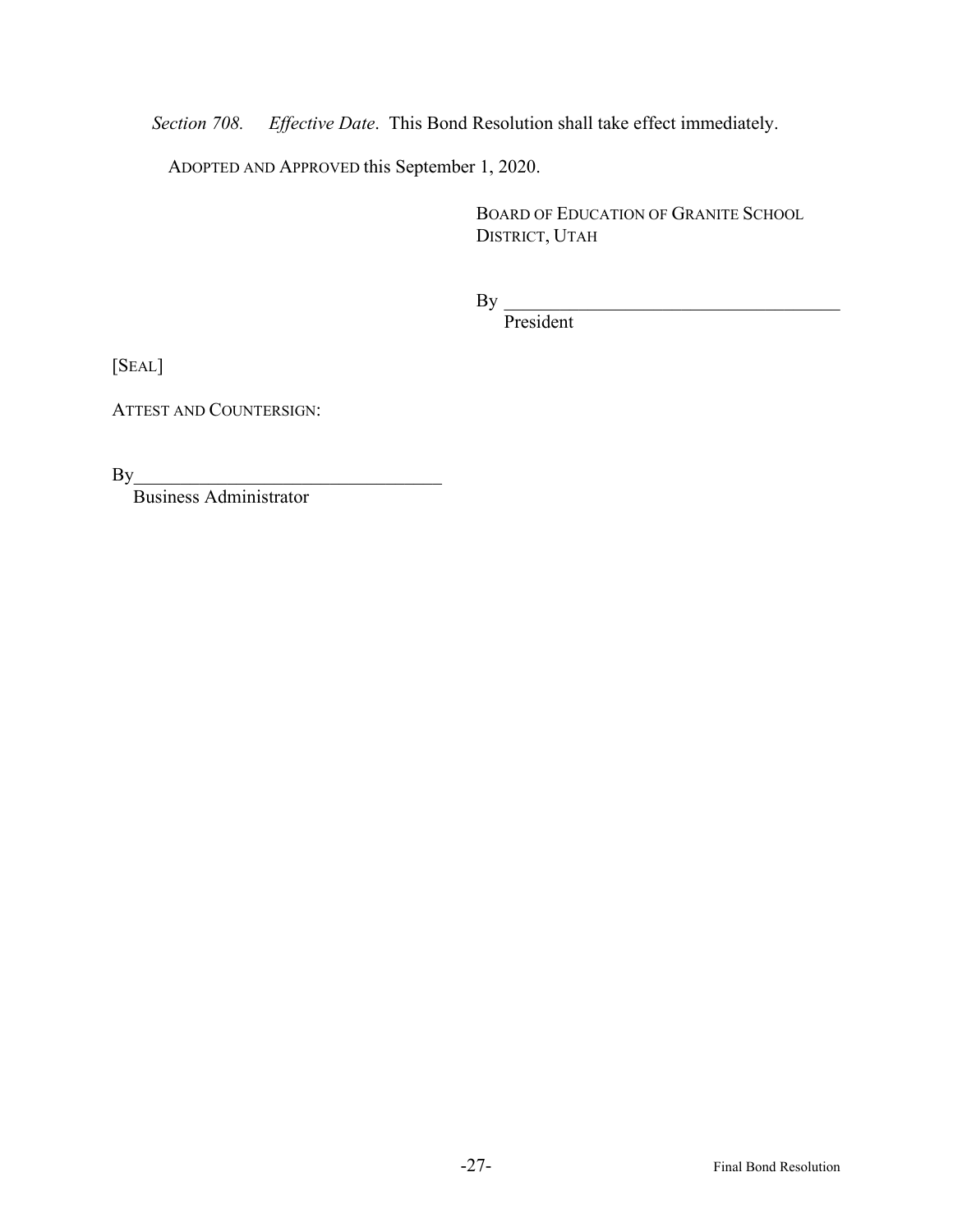*Section 708. Effective Date*. This Bond Resolution shall take effect immediately.

ADOPTED AND APPROVED this September 1, 2020.

BOARD OF EDUCATION OF GRANITE SCHOOL DISTRICT, UTAH

 $\mathrm{By}$   $\_$ 

President

[SEAL]

ATTEST AND COUNTERSIGN:

 $By$ 

Business Administrator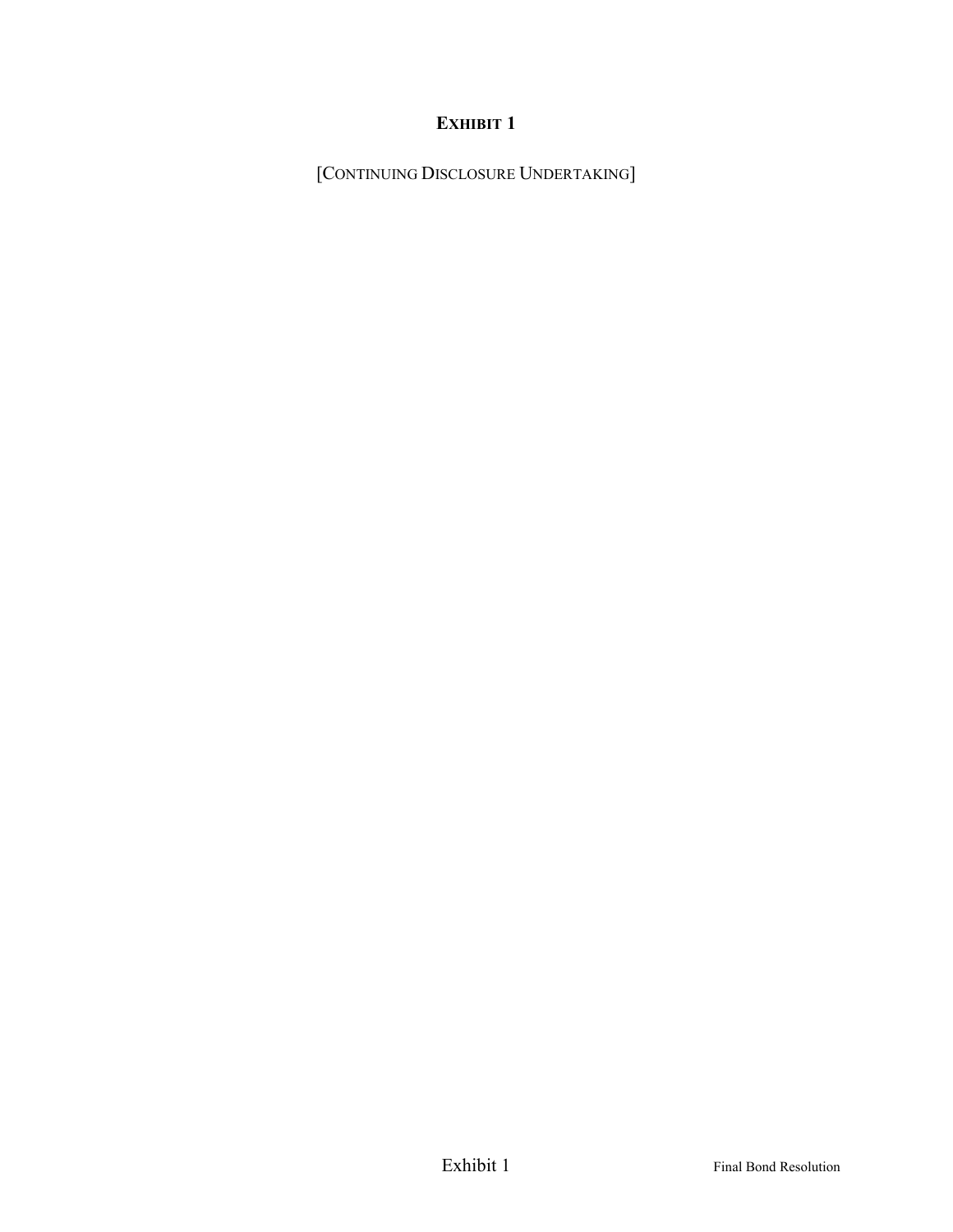[CONTINUING DISCLOSURE UNDERTAKING]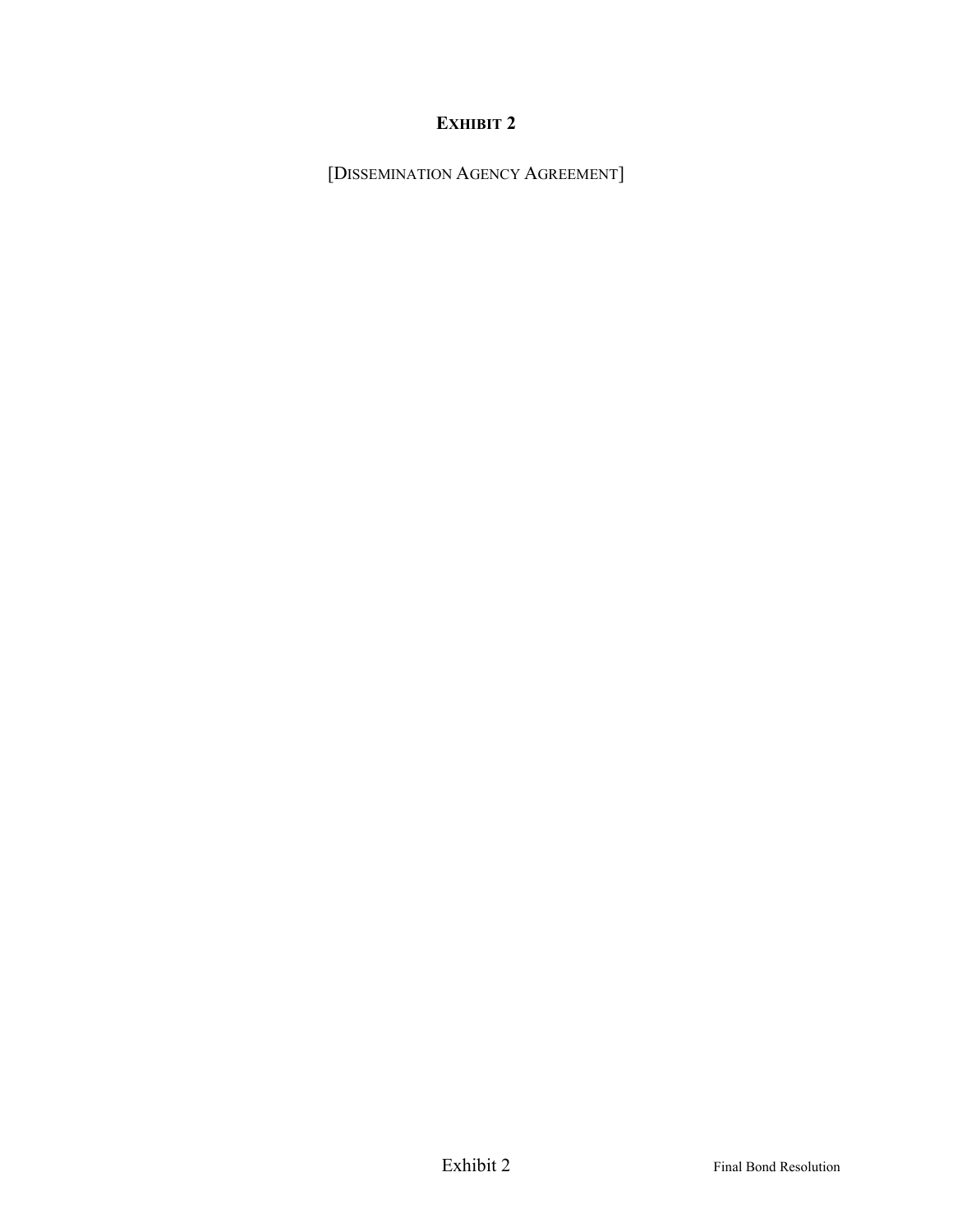[DISSEMINATION AGENCY AGREEMENT]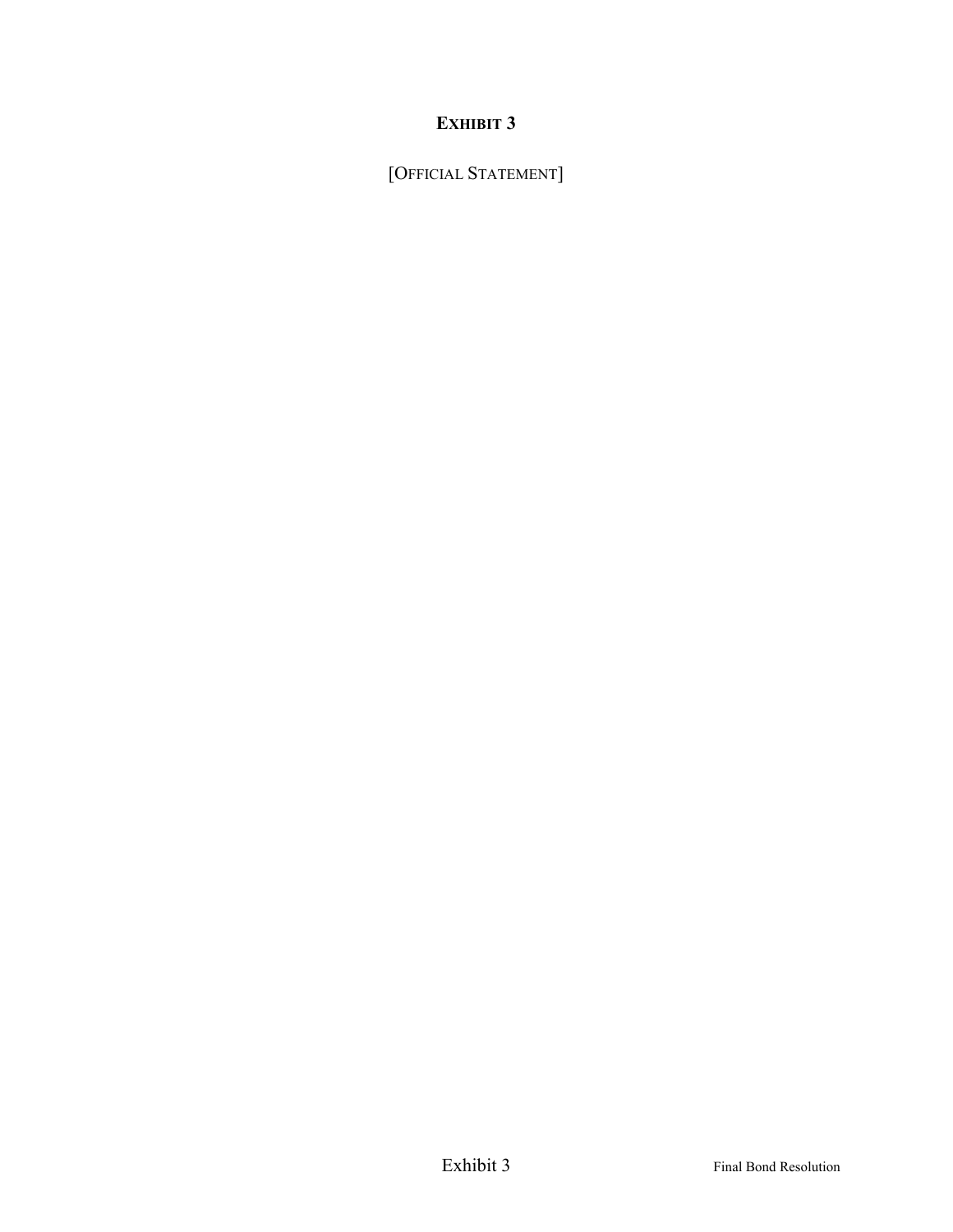[OFFICIAL STATEMENT]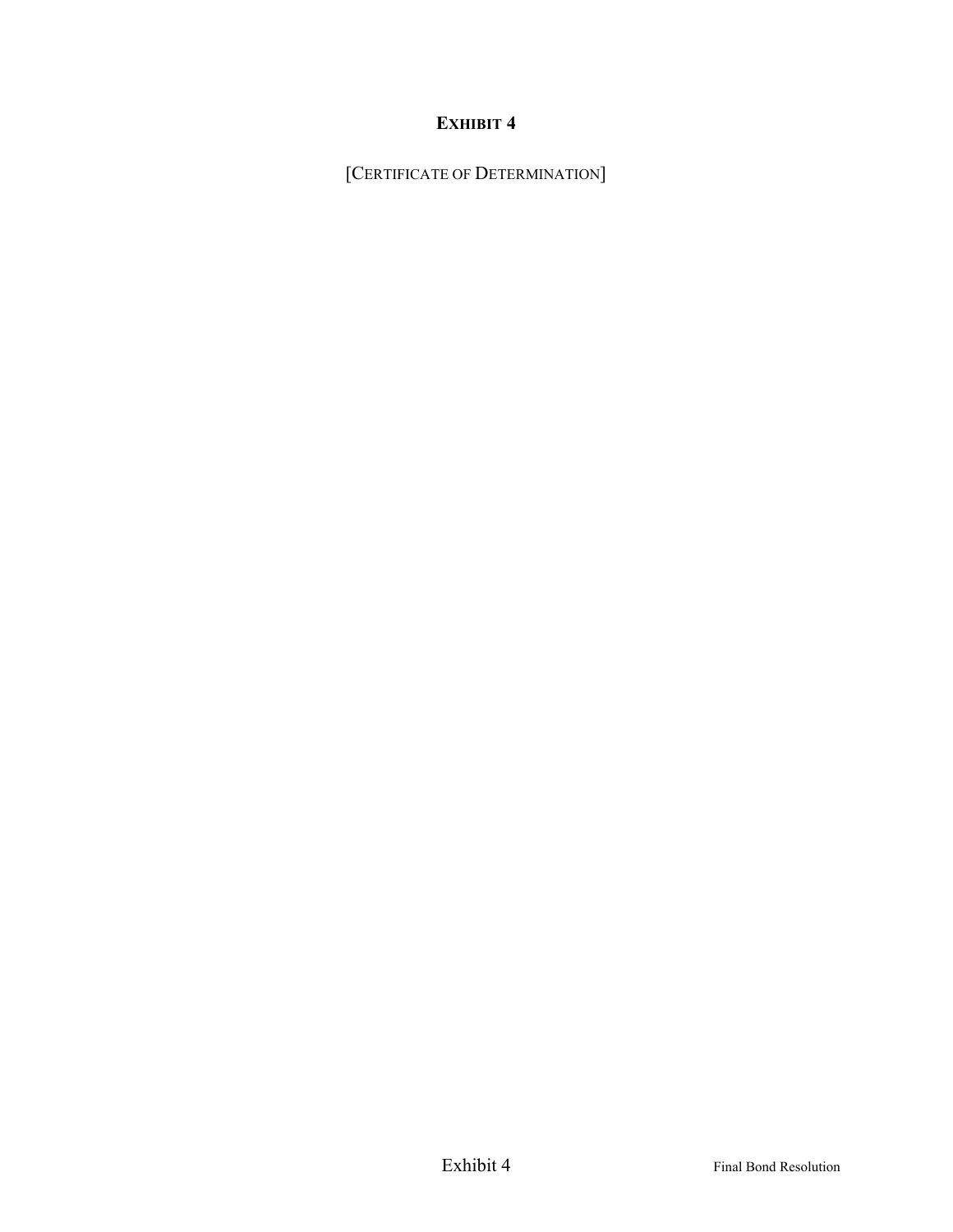[CERTIFICATE OF DETERMINATION]